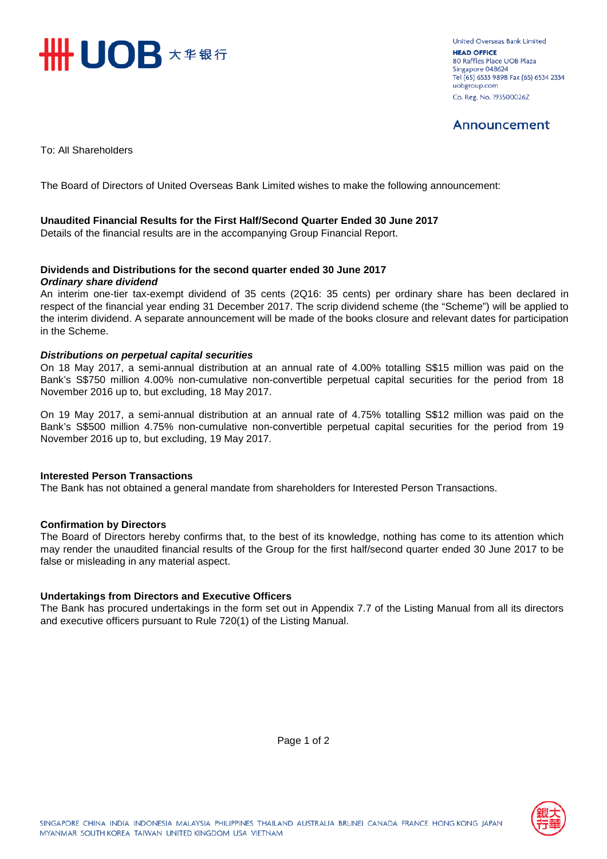

**United Overseas Bank Limited HEAD OFFICE** 80 Raffles Place UOB Plaza Singapore 048624 Tel (65) 6533 9898 Fax (65) 6534 2334 uobgroup.com Co. Reg. No. 193500026Z

# Announcement

To: All Shareholders

The Board of Directors of United Overseas Bank Limited wishes to make the following announcement:

#### **Unaudited Financial Results for the First Half/Second Quarter Ended 30 June 2017**

Details of the financial results are in the accompanying Group Financial Report.

#### **Dividends and Distributions for the second quarter ended 30 June 2017** *Ordinary share dividend*

An interim one-tier tax-exempt dividend of 35 cents (2Q16: 35 cents) per ordinary share has been declared in respect of the financial year ending 31 December 2017. The scrip dividend scheme (the "Scheme") will be applied to the interim dividend. A separate announcement will be made of the books closure and relevant dates for participation in the Scheme.

#### *Distributions on perpetual capital securities*

On 18 May 2017, a semi-annual distribution at an annual rate of 4.00% totalling S\$15 million was paid on the Bank's S\$750 million 4.00% non-cumulative non-convertible perpetual capital securities for the period from 18 November 2016 up to, but excluding, 18 May 2017.

On 19 May 2017, a semi-annual distribution at an annual rate of 4.75% totalling S\$12 million was paid on the Bank's S\$500 million 4.75% non-cumulative non-convertible perpetual capital securities for the period from 19 November 2016 up to, but excluding, 19 May 2017.

#### **Interested Person Transactions**

The Bank has not obtained a general mandate from shareholders for Interested Person Transactions.

#### **Confirmation by Directors**

The Board of Directors hereby confirms that, to the best of its knowledge, nothing has come to its attention which may render the unaudited financial results of the Group for the first half/second quarter ended 30 June 2017 to be false or misleading in any material aspect.

#### **Undertakings from Directors and Executive Officers**

The Bank has procured undertakings in the form set out in Appendix 7.7 of the Listing Manual from all its directors and executive officers pursuant to Rule 720(1) of the Listing Manual.

Page 1 of 2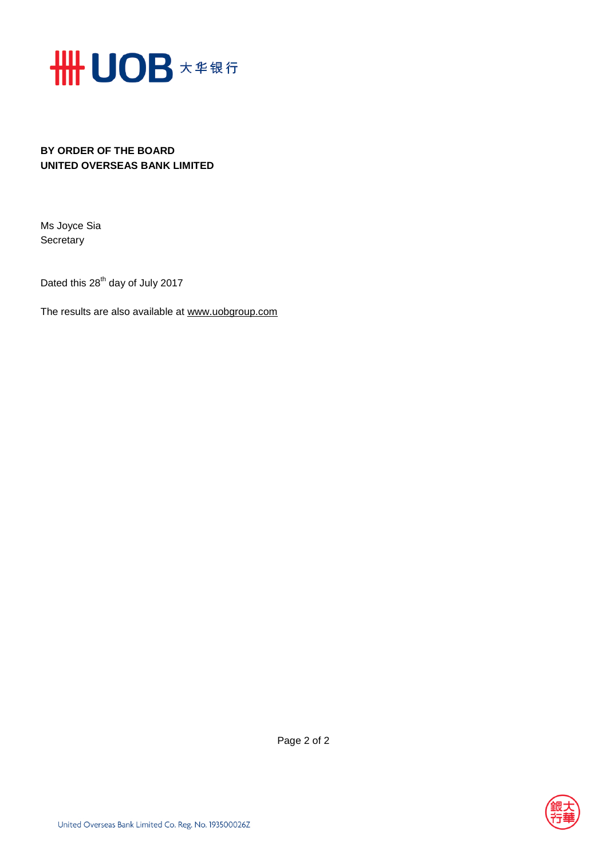

## **BY ORDER OF THE BOARD UNITED OVERSEAS BANK LIMITED**

Ms Joyce Sia **Secretary** 

Dated this  $28^{th}$  day of July 2017

The results are also available at www.uob[group.com](http://www.uobgroup.com/)



Page 2 of 2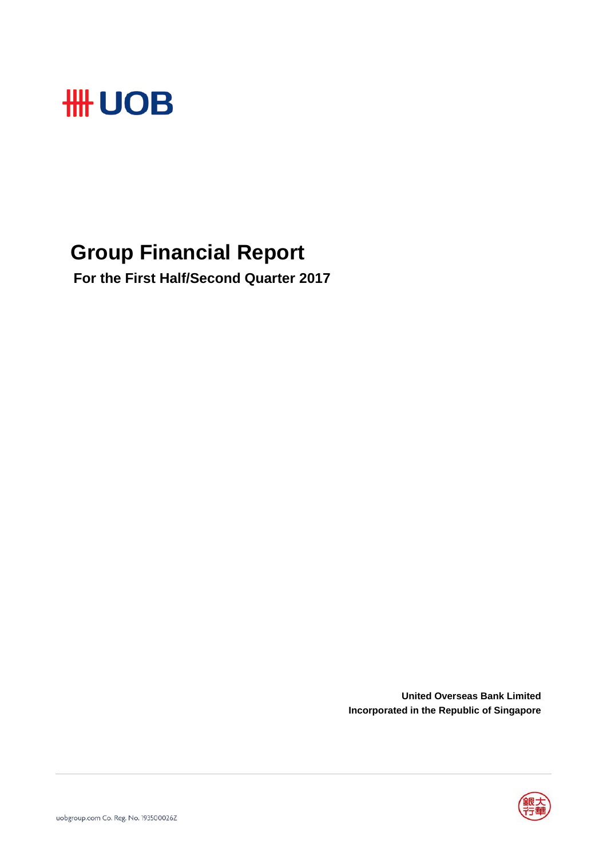

# **Group Financial Report**

 **For the First Half/Second Quarter 2017**

**United Overseas Bank Limited Incorporated in the Republic of Singapore**

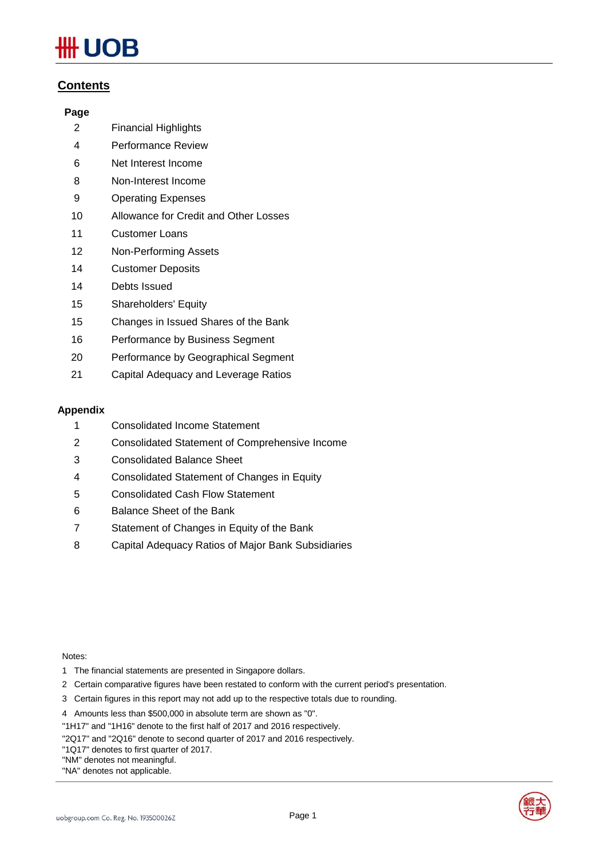# JOB

### **Contents**

#### **Page**

- 2 Financial Highlights
- 4 Performance Review
- 6 Net Interest Income
- 8 Non-Interest Income
- 9 Operating Expenses
- 10 Allowance for Credit and Other Losses
- 11 Customer Loans
- 12 Non-Performing Assets
- 14 Customer Deposits
- 14 Debts Issued
- 15 Shareholders' Equity
- 15 Changes in Issued Shares of the Bank
- 16 Performance by Business Segment
- 20 Performance by Geographical Segment
- 21 Capital Adequacy and Leverage Ratios

#### **Appendix**

- 1 Consolidated Income Statement
- 2 Consolidated Statement of Comprehensive Income
- 3 Consolidated Balance Sheet
- 4 Consolidated Statement of Changes in Equity
- 5 Consolidated Cash Flow Statement
- 6 Balance Sheet of the Bank
- 7 Statement of Changes in Equity of the Bank
- 8 Capital Adequacy Ratios of Major Bank Subsidiaries

#### Notes:

- 1 The financial statements are presented in Singapore dollars.
- 2 Certain comparative figures have been restated to conform with the current period's presentation.
- 3 Certain figures in this report may not add up to the respective totals due to rounding.

4 Amounts less than \$500,000 in absolute term are shown as "0".

"1H17" and "1H16" denote to the first half of 2017 and 2016 respectively.

"2Q17" and "2Q16" denote to second quarter of 2017 and 2016 respectively.

"1Q17" denotes to first quarter of 2017.

"NM" denotes not meaningful.

"NA" denotes not applicable.



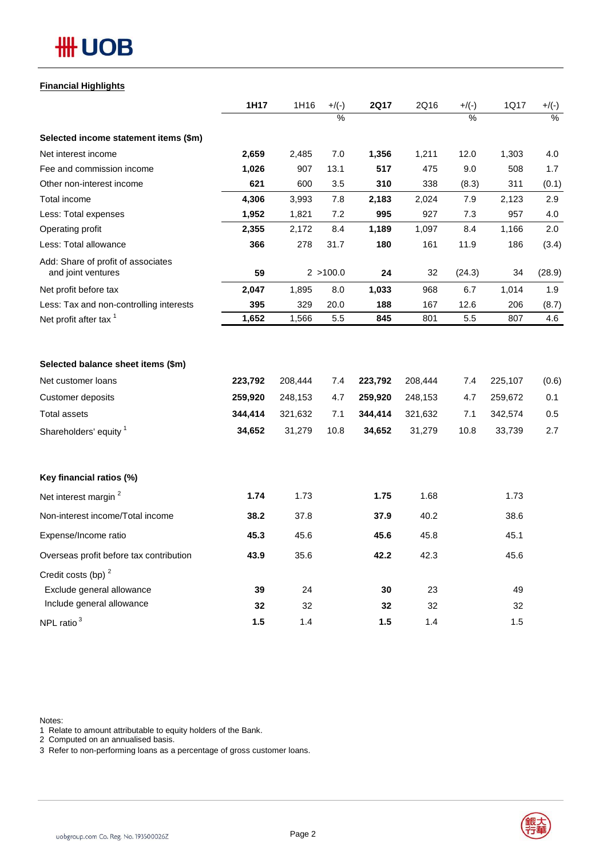# **HH UOB**

#### **Financial Highlights**

|                                                                                                 | 1H17                                    | 1H16                                    | $+$ /(-)                  | <b>2Q17</b>                             | 2Q16                                    | $+/(-)$                   | 1Q17                                    | $+/(-)$                    |
|-------------------------------------------------------------------------------------------------|-----------------------------------------|-----------------------------------------|---------------------------|-----------------------------------------|-----------------------------------------|---------------------------|-----------------------------------------|----------------------------|
|                                                                                                 |                                         |                                         | $\overline{\%}$           |                                         |                                         | $\frac{0}{0}$             |                                         | $\frac{9}{6}$              |
| Selected income statement items (\$m)                                                           |                                         |                                         |                           |                                         |                                         |                           |                                         |                            |
| Net interest income                                                                             | 2,659                                   | 2,485                                   | 7.0                       | 1,356                                   | 1,211                                   | 12.0                      | 1,303                                   | 4.0                        |
| Fee and commission income                                                                       | 1,026                                   | 907                                     | 13.1                      | 517                                     | 475                                     | 9.0                       | 508                                     | 1.7                        |
| Other non-interest income                                                                       | 621                                     | 600                                     | 3.5                       | 310                                     | 338                                     | (8.3)                     | 311                                     | (0.1)                      |
| Total income                                                                                    | 4,306                                   | 3,993                                   | 7.8                       | 2,183                                   | 2,024                                   | 7.9                       | 2,123                                   | 2.9                        |
| Less: Total expenses                                                                            | 1,952                                   | 1,821                                   | 7.2                       | 995                                     | 927                                     | 7.3                       | 957                                     | 4.0                        |
| Operating profit                                                                                | 2,355                                   | 2,172                                   | 8.4                       | 1,189                                   | 1,097                                   | 8.4                       | 1,166                                   | 2.0                        |
| Less: Total allowance                                                                           | 366                                     | 278                                     | 31.7                      | 180                                     | 161                                     | 11.9                      | 186                                     | (3.4)                      |
| Add: Share of profit of associates<br>and joint ventures                                        | 59                                      |                                         | 2 > 100.0                 | 24                                      | 32                                      | (24.3)                    | 34                                      | (28.9)                     |
| Net profit before tax                                                                           | 2,047                                   | 1,895                                   | 8.0                       | 1,033                                   | 968                                     | 6.7                       | 1,014                                   | 1.9                        |
| Less: Tax and non-controlling interests                                                         | 395                                     | 329                                     | 20.0                      | 188                                     | 167                                     | 12.6                      | 206                                     | (8.7)                      |
| Net profit after tax <sup>1</sup>                                                               | 1,652                                   | 1,566                                   | $5.5\,$                   | 845                                     | 801                                     | 5.5                       | 807                                     | 4.6                        |
| Net customer loans<br><b>Customer deposits</b><br><b>Total assets</b><br>Shareholders' equity 1 | 223,792<br>259,920<br>344,414<br>34,652 | 208,444<br>248,153<br>321,632<br>31,279 | 7.4<br>4.7<br>7.1<br>10.8 | 223,792<br>259,920<br>344,414<br>34,652 | 208,444<br>248,153<br>321,632<br>31,279 | 7.4<br>4.7<br>7.1<br>10.8 | 225,107<br>259,672<br>342,574<br>33,739 | (0.6)<br>0.1<br>0.5<br>2.7 |
| Key financial ratios (%)                                                                        |                                         |                                         |                           |                                         |                                         |                           |                                         |                            |
| Net interest margin <sup>2</sup>                                                                | 1.74                                    | 1.73                                    |                           | 1.75                                    | 1.68                                    |                           | 1.73                                    |                            |
| Non-interest income/Total income                                                                | 38.2                                    | 37.8                                    |                           | 37.9                                    | 40.2                                    |                           | 38.6                                    |                            |
| Expense/Income ratio                                                                            | 45.3                                    | 45.6                                    |                           | 45.6                                    | 45.8                                    |                           | 45.1                                    |                            |
| Overseas profit before tax contribution                                                         | 43.9                                    | 35.6                                    |                           | 42.2                                    | 42.3                                    |                           | 45.6                                    |                            |
| Credit costs (bp) <sup>2</sup><br>Exclude general allowance                                     | 39                                      | 24                                      |                           | 30                                      | 23                                      |                           | 49                                      |                            |
| Include general allowance                                                                       | 32                                      | 32                                      |                           | 32                                      | 32                                      |                           | 32                                      |                            |
| NPL ratio <sup>3</sup>                                                                          | 1.5                                     | 1.4                                     |                           | 1.5                                     | 1.4                                     |                           | 1.5                                     |                            |

Notes:

1 Relate to amount attributable to equity holders of the Bank.

2 Computed on an annualised basis.

3 Refer to non-performing loans as a percentage of gross customer loans.

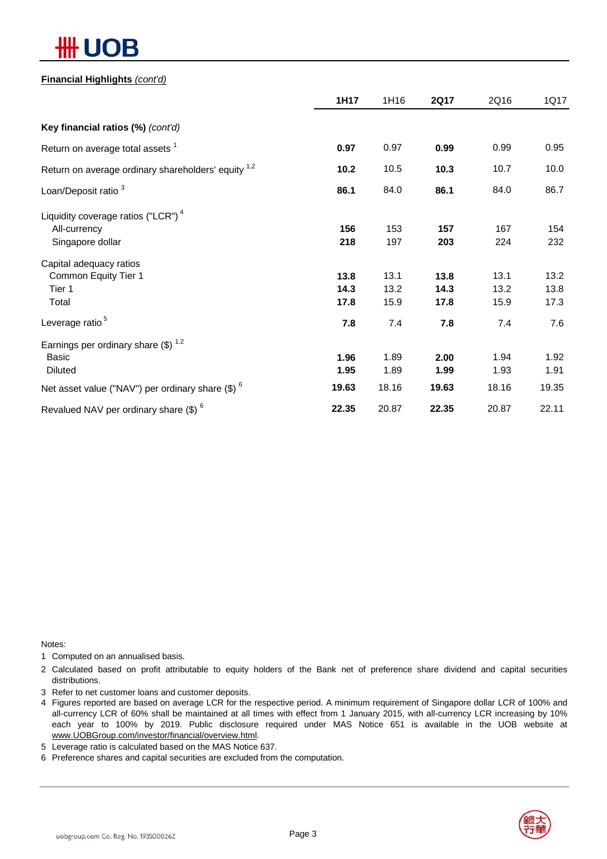# ЛB

### **Financial Highlights** *(cont'd)*

|                                                                | 1H17  | 1H16  | <b>2Q17</b> | 2Q16  | 1Q17  |
|----------------------------------------------------------------|-------|-------|-------------|-------|-------|
| Key financial ratios (%) (cont'd)                              |       |       |             |       |       |
| Return on average total assets <sup>1</sup>                    | 0.97  | 0.97  | 0.99        | 0.99  | 0.95  |
| Return on average ordinary shareholders' equity <sup>1,2</sup> | 10.2  | 10.5  | 10.3        | 10.7  | 10.0  |
| Loan/Deposit ratio <sup>3</sup>                                | 86.1  | 84.0  | 86.1        | 84.0  | 86.7  |
| Liquidity coverage ratios ("LCR") <sup>4</sup>                 |       |       |             |       |       |
| All-currency                                                   | 156   | 153   | 157         | 167   | 154   |
| Singapore dollar                                               | 218   | 197   | 203         | 224   | 232   |
| Capital adequacy ratios                                        |       |       |             |       |       |
| Common Equity Tier 1                                           | 13.8  | 13.1  | 13.8        | 13.1  | 13.2  |
| Tier 1                                                         | 14.3  | 13.2  | 14.3        | 13.2  | 13.8  |
| Total                                                          | 17.8  | 15.9  | 17.8        | 15.9  | 17.3  |
| Leverage ratio <sup>5</sup>                                    | 7.8   | 7.4   | 7.8         | 7.4   | 7.6   |
| Earnings per ordinary share $(\$)$ <sup>1,2</sup>              |       |       |             |       |       |
| Basic                                                          | 1.96  | 1.89  | 2.00        | 1.94  | 1.92  |
| <b>Diluted</b>                                                 | 1.95  | 1.89  | 1.99        | 1.93  | 1.91  |
| Net asset value ("NAV") per ordinary share $(\$)$ $^6$         | 19.63 | 18.16 | 19.63       | 18.16 | 19.35 |
| Revalued NAV per ordinary share $(\$)$ <sup>6</sup>            | 22.35 | 20.87 | 22.35       | 20.87 | 22.11 |

Notes:

1 Computed on an annualised basis.

2 Calculated based on profit attributable to equity holders of the Bank net of preference share dividend and capital securities distributions.

3 Refer to net customer loans and customer deposits.

- 4 Figures reported are based on average LCR for the respective period. A minimum requirement of Singapore dollar LCR of 100% and all-currency LCR of 60% shall be maintained at all times with effect from 1 January 2015, with all-currency LCR increasing by 10% each year to 100% by 2019. Public disclosure required under MAS Notice 651 is available in the UOB website at www.UOBGroup.com/investor/financial/overview.html.
- 5 Leverage ratio is calculated based on the MAS Notice 637.
- 6 Preference shares and capital securities are excluded from the computation.

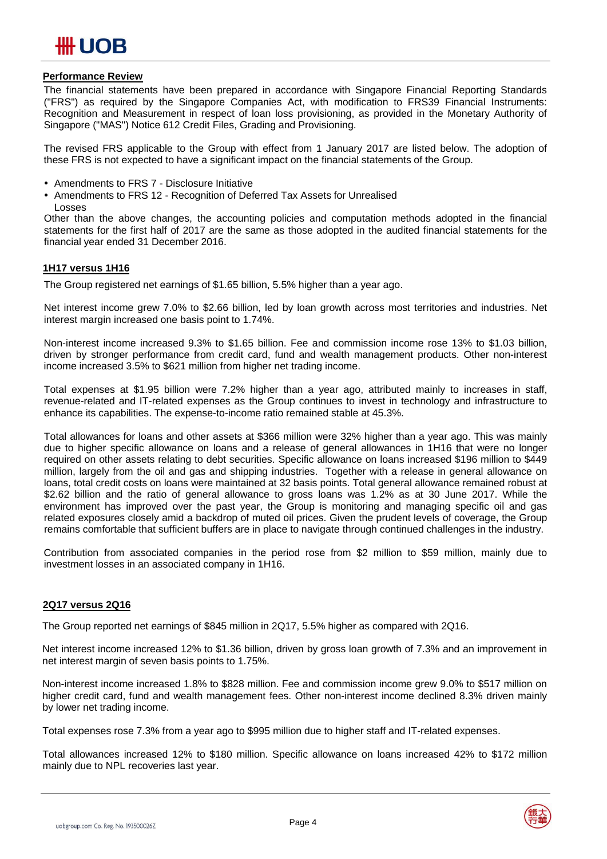#### **Performance Review**

The financial statements have been prepared in accordance with Singapore Financial Reporting Standards ("FRS") as required by the Singapore Companies Act, with modification to FRS39 Financial Instruments: Recognition and Measurement in respect of loan loss provisioning, as provided in the Monetary Authority of Singapore ("MAS") Notice 612 Credit Files, Grading and Provisioning.

The revised FRS applicable to the Group with effect from 1 January 2017 are listed below. The adoption of these FRS is not expected to have a significant impact on the financial statements of the Group.

- Amendments to FRS 7 Disclosure Initiative
- Amendments to FRS 12 Recognition of Deferred Tax Assets for Unrealised Losses

Other than the above changes, the accounting policies and computation methods adopted in the financial statements for the first half of 2017 are the same as those adopted in the audited financial statements for the financial year ended 31 December 2016.

#### **1H17 versus 1H16**

The Group registered net earnings of \$1.65 billion, 5.5% higher than a year ago.

Net interest income grew 7.0% to \$2.66 billion, led by loan growth across most territories and industries. Net interest margin increased one basis point to 1.74%.

Non-interest income increased 9.3% to \$1.65 billion. Fee and commission income rose 13% to \$1.03 billion, driven by stronger performance from credit card, fund and wealth management products. Other non-interest income increased 3.5% to \$621 million from higher net trading income.

Total expenses at \$1.95 billion were 7.2% higher than a year ago, attributed mainly to increases in staff, revenue-related and IT-related expenses as the Group continues to invest in technology and infrastructure to enhance its capabilities. The expense-to-income ratio remained stable at 45.3%.

Total allowances for loans and other assets at \$366 million were 32% higher than a year ago. This was mainly due to higher specific allowance on loans and a release of general allowances in 1H16 that were no longer required on other assets relating to debt securities. Specific allowance on loans increased \$196 million to \$449 million, largely from the oil and gas and shipping industries. Together with a release in general allowance on loans, total credit costs on loans were maintained at 32 basis points. Total general allowance remained robust at \$2.62 billion and the ratio of general allowance to gross loans was 1.2% as at 30 June 2017. While the environment has improved over the past year, the Group is monitoring and managing specific oil and gas related exposures closely amid a backdrop of muted oil prices. Given the prudent levels of coverage, the Group remains comfortable that sufficient buffers are in place to navigate through continued challenges in the industry.

Contribution from associated companies in the period rose from \$2 million to \$59 million, mainly due to investment losses in an associated company in 1H16.

#### **2Q17 versus 2Q16**

The Group reported net earnings of \$845 million in 2Q17, 5.5% higher as compared with 2Q16.

Net interest income increased 12% to \$1.36 billion, driven by gross loan growth of 7.3% and an improvement in net interest margin of seven basis points to 1.75%.

Non-interest income increased 1.8% to \$828 million. Fee and commission income grew 9.0% to \$517 million on higher credit card, fund and wealth management fees. Other non-interest income declined 8.3% driven mainly by lower net trading income.

Total expenses rose 7.3% from a year ago to \$995 million due to higher staff and IT-related expenses.

Total allowances increased 12% to \$180 million. Specific allowance on loans increased 42% to \$172 million mainly due to NPL recoveries last year.

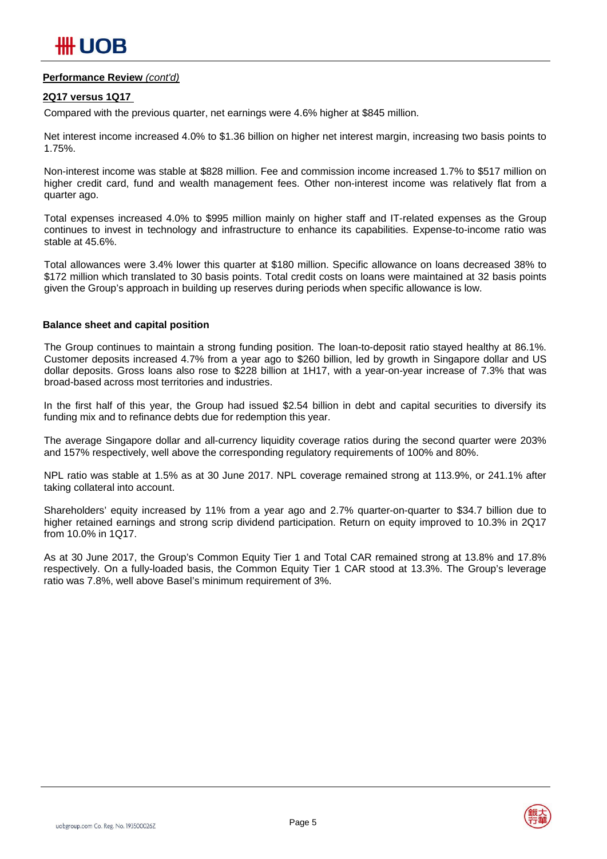#### **Performance Review** *(cont'd)*

#### **2Q17 versus 1Q17**

Compared with the previous quarter, net earnings were 4.6% higher at \$845 million.

Net interest income increased 4.0% to \$1.36 billion on higher net interest margin, increasing two basis points to 1.75%.

Non-interest income was stable at \$828 million. Fee and commission income increased 1.7% to \$517 million on higher credit card, fund and wealth management fees. Other non-interest income was relatively flat from a quarter ago.

Total expenses increased 4.0% to \$995 million mainly on higher staff and IT-related expenses as the Group continues to invest in technology and infrastructure to enhance its capabilities. Expense-to-income ratio was stable at 45.6%.

Total allowances were 3.4% lower this quarter at \$180 million. Specific allowance on loans decreased 38% to \$172 million which translated to 30 basis points. Total credit costs on loans were maintained at 32 basis points given the Group's approach in building up reserves during periods when specific allowance is low.

#### **Balance sheet and capital position**

The Group continues to maintain a strong funding position. The loan-to-deposit ratio stayed healthy at 86.1%. Customer deposits increased 4.7% from a year ago to \$260 billion, led by growth in Singapore dollar and US dollar deposits. Gross loans also rose to \$228 billion at 1H17, with a year-on-year increase of 7.3% that was broad-based across most territories and industries.

In the first half of this year, the Group had issued \$2.54 billion in debt and capital securities to diversify its funding mix and to refinance debts due for redemption this year.

The average Singapore dollar and all-currency liquidity coverage ratios during the second quarter were 203% and 157% respectively, well above the corresponding regulatory requirements of 100% and 80%.

NPL ratio was stable at 1.5% as at 30 June 2017. NPL coverage remained strong at 113.9%, or 241.1% after taking collateral into account.

Shareholders' equity increased by 11% from a year ago and 2.7% quarter-on-quarter to \$34.7 billion due to higher retained earnings and strong scrip dividend participation. Return on equity improved to 10.3% in 2Q17 from 10.0% in 1Q17.

As at 30 June 2017, the Group's Common Equity Tier 1 and Total CAR remained strong at 13.8% and 17.8% respectively. On a fully-loaded basis, the Common Equity Tier 1 CAR stood at 13.3%. The Group's leverage ratio was 7.8%, well above Basel's minimum requirement of 3%.

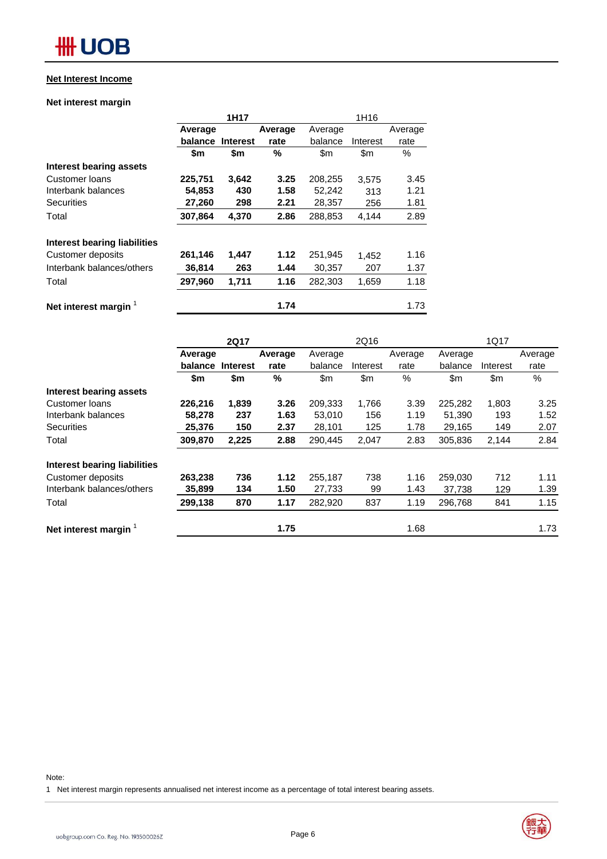#### **Net Interest Income**

#### **Net interest margin**

|                              |         | 1H17            |         | 1H16    |          |         |  |  |
|------------------------------|---------|-----------------|---------|---------|----------|---------|--|--|
|                              | Average |                 | Average | Average |          | Average |  |  |
|                              | balance | <b>Interest</b> | rate    | balance | Interest | rate    |  |  |
|                              | \$m     | \$m             | %       | \$m     | \$m      | $\%$    |  |  |
| Interest bearing assets      |         |                 |         |         |          |         |  |  |
| Customer loans               | 225,751 | 3,642           | 3.25    | 208,255 | 3,575    | 3.45    |  |  |
| Interbank balances           | 54,853  | 430             | 1.58    | 52,242  | 313      | 1.21    |  |  |
| <b>Securities</b>            | 27,260  | 298             | 2.21    | 28,357  | 256      | 1.81    |  |  |
| Total                        | 307,864 | 4,370           | 2.86    | 288,853 | 4.144    | 2.89    |  |  |
| Interest bearing liabilities |         |                 |         |         |          |         |  |  |
| Customer deposits            | 261,146 | 1,447           | 1.12    | 251,945 | 1,452    | 1.16    |  |  |
| Interbank balances/others    | 36,814  | 263             | 1.44    | 30,357  | 207      | 1.37    |  |  |
| Total                        | 297,960 | 1,711           | 1.16    | 282.303 | 1,659    | 1.18    |  |  |
| Net interest margin          |         |                 | 1.74    |         |          | 1.73    |  |  |

|                              |         | <b>2Q17</b>      |         |         | 2Q16     |         |         | 1Q17     |         |
|------------------------------|---------|------------------|---------|---------|----------|---------|---------|----------|---------|
|                              | Average |                  | Average | Average |          | Average | Average |          | Average |
|                              |         | balance Interest | rate    | balance | Interest | rate    | balance | Interest | rate    |
|                              | \$m     | \$m              | %       | \$m     | \$m\$    | $\%$    | \$m\$   | \$m      | %       |
| Interest bearing assets      |         |                  |         |         |          |         |         |          |         |
| Customer loans               | 226,216 | 1,839            | 3.26    | 209,333 | 1,766    | 3.39    | 225,282 | 1,803    | 3.25    |
| Interbank balances           | 58,278  | 237              | 1.63    | 53,010  | 156      | 1.19    | 51,390  | 193      | 1.52    |
| <b>Securities</b>            | 25,376  | 150              | 2.37    | 28,101  | 125      | 1.78    | 29,165  | 149      | 2.07    |
| Total                        | 309,870 | 2,225            | 2.88    | 290,445 | 2,047    | 2.83    | 305,836 | 2,144    | 2.84    |
| Interest bearing liabilities |         |                  |         |         |          |         |         |          |         |
| Customer deposits            | 263,238 | 736              | 1.12    | 255,187 | 738      | 1.16    | 259,030 | 712      | 1.11    |
| Interbank balances/others    | 35,899  | 134              | 1.50    | 27,733  | 99       | 1.43    | 37.738  | 129      | 1.39    |
| Total                        | 299,138 | 870              | 1.17    | 282,920 | 837      | 1.19    | 296,768 | 841      | 1.15    |
| Net interest margin $1$      |         |                  | 1.75    |         |          | 1.68    |         |          | 1.73    |

Note:

1 Net interest margin represents annualised net interest income as a percentage of total interest bearing assets.

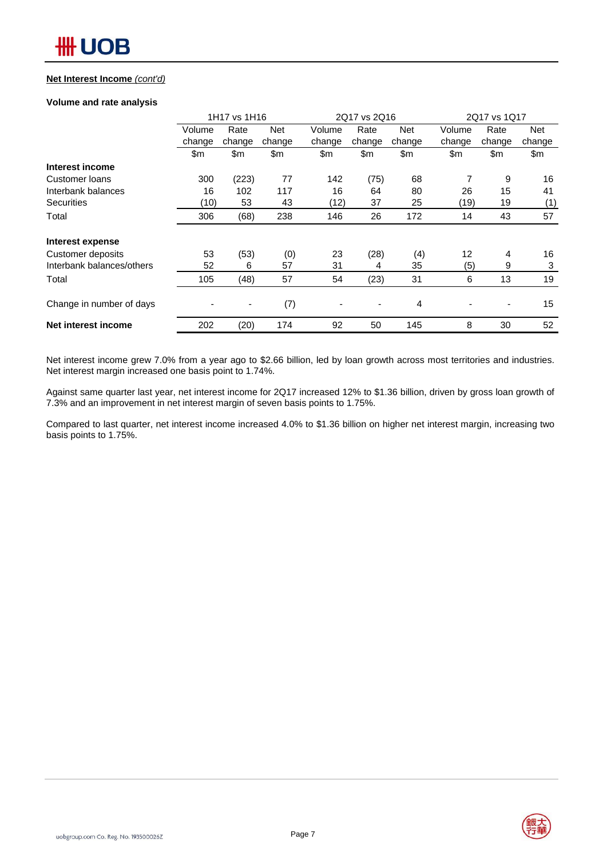#### **Net Interest Income** *(cont'd)*

#### **Volume and rate analysis**

|                           | 1H17 vs 1H16 |        |            |        | 2Q17 vs 2Q16             |            | 2Q17 vs 1Q17      |                |        |
|---------------------------|--------------|--------|------------|--------|--------------------------|------------|-------------------|----------------|--------|
|                           | Volume       | Rate   | <b>Net</b> | Volume | Rate                     | <b>Net</b> | Volume            | Rate           | Net    |
|                           | change       | change | change     | change | change                   | change     | change            | change         | change |
|                           | \$m          | \$m    | \$m        | \$m\$  | \$m                      | \$m        | \$m               | \$m            | \$m    |
| Interest income           |              |        |            |        |                          |            |                   |                |        |
| Customer loans            | 300          | (223)  | 77         | 142    | (75)                     | 68         | 7                 | 9              | 16     |
| Interbank balances        | 16           | 102    | 117        | 16     | 64                       | 80         | 26                | 15             | 41     |
| <b>Securities</b>         | (10)         | 53     | 43         | (12)   | 37                       | 25         | (19)              | 19             | (1)    |
| Total                     | 306          | (68)   | 238        | 146    | 26                       | 172        | 14                | 43             | 57     |
| Interest expense          |              |        |            |        |                          |            |                   |                |        |
| Customer deposits         | 53           | (53)   | (0)        | 23     | (28)                     | (4)        | $12 \overline{ }$ | $\overline{4}$ | 16     |
| Interbank balances/others | 52           | 6      | 57         | 31     | 4                        | 35         | (5)               | 9              | 3      |
| Total                     | 105          | (48)   | 57         | 54     | (23)                     | 31         | 6                 | 13             | 19     |
| Change in number of days  |              |        | (7)        |        | $\overline{\phantom{a}}$ | 4          |                   | ٠              | 15     |
| Net interest income       | 202          | (20)   | 174        | 92     | 50                       | 145        | 8                 | 30             | 52     |

Net interest income grew 7.0% from a year ago to \$2.66 billion, led by loan growth across most territories and industries. Net interest margin increased one basis point to 1.74%.

Against same quarter last year, net interest income for 2Q17 increased 12% to \$1.36 billion, driven by gross loan growth of 7.3% and an improvement in net interest margin of seven basis points to 1.75%.

Compared to last quarter, net interest income increased 4.0% to \$1.36 billion on higher net interest margin, increasing two basis points to 1.75%.

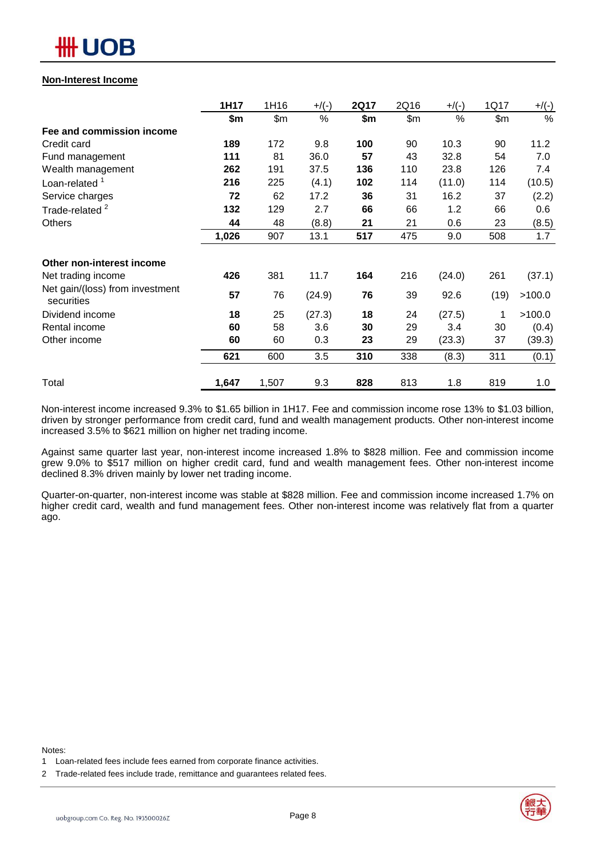

#### **Non-Interest Income**

|                                               | 1H17  | 1H16  | $+$ /(-) | <b>2Q17</b> | 2Q16 | $+$ /(-) | 1Q17 | $+/(-)$ |
|-----------------------------------------------|-------|-------|----------|-------------|------|----------|------|---------|
|                                               | \$m   | \$m   | %        | \$m         | \$m  | $\%$     | \$m  | %       |
| Fee and commission income                     |       |       |          |             |      |          |      |         |
| Credit card                                   | 189   | 172   | 9.8      | 100         | 90   | 10.3     | 90   | 11.2    |
| Fund management                               | 111   | 81    | 36.0     | 57          | 43   | 32.8     | 54   | 7.0     |
| Wealth management                             | 262   | 191   | 37.5     | 136         | 110  | 23.8     | 126  | 7.4     |
| Loan-related <sup>1</sup>                     | 216   | 225   | (4.1)    | 102         | 114  | (11.0)   | 114  | (10.5)  |
| Service charges                               | 72    | 62    | 17.2     | 36          | 31   | 16.2     | 37   | (2.2)   |
| Trade-related <sup>2</sup>                    | 132   | 129   | 2.7      | 66          | 66   | 1.2      | 66   | 0.6     |
| <b>Others</b>                                 | 44    | 48    | (8.8)    | 21          | 21   | 0.6      | 23   | (8.5)   |
|                                               | 1,026 | 907   | 13.1     | 517         | 475  | 9.0      | 508  | 1.7     |
| Other non-interest income                     |       |       |          |             |      |          |      |         |
| Net trading income                            | 426   | 381   | 11.7     | 164         | 216  | (24.0)   | 261  | (37.1)  |
| Net gain/(loss) from investment<br>securities | 57    | 76    | (24.9)   | 76          | 39   | 92.6     | (19) | >100.0  |
| Dividend income                               | 18    | 25    | (27.3)   | 18          | 24   | (27.5)   | 1    | >100.0  |
| Rental income                                 | 60    | 58    | 3.6      | 30          | 29   | 3.4      | 30   | (0.4)   |
| Other income                                  | 60    | 60    | 0.3      | 23          | 29   | (23.3)   | 37   | (39.3)  |
|                                               | 621   | 600   | 3.5      | 310         | 338  | (8.3)    | 311  | (0.1)   |
| Total                                         | 1,647 | 1,507 | 9.3      | 828         | 813  | 1.8      | 819  | 1.0     |

Non-interest income increased 9.3% to \$1.65 billion in 1H17. Fee and commission income rose 13% to \$1.03 billion, driven by stronger performance from credit card, fund and wealth management products. Other non-interest income increased 3.5% to \$621 million on higher net trading income.

Against same quarter last year, non-interest income increased 1.8% to \$828 million. Fee and commission income grew 9.0% to \$517 million on higher credit card, fund and wealth management fees. Other non-interest income declined 8.3% driven mainly by lower net trading income.

Quarter-on-quarter, non-interest income was stable at \$828 million. Fee and commission income increased 1.7% on higher credit card, wealth and fund management fees. Other non-interest income was relatively flat from a quarter ago.

Notes:



<sup>1</sup> Loan-related fees include fees earned from corporate finance activities.

<sup>2</sup> Trade-related fees include trade, remittance and guarantees related fees.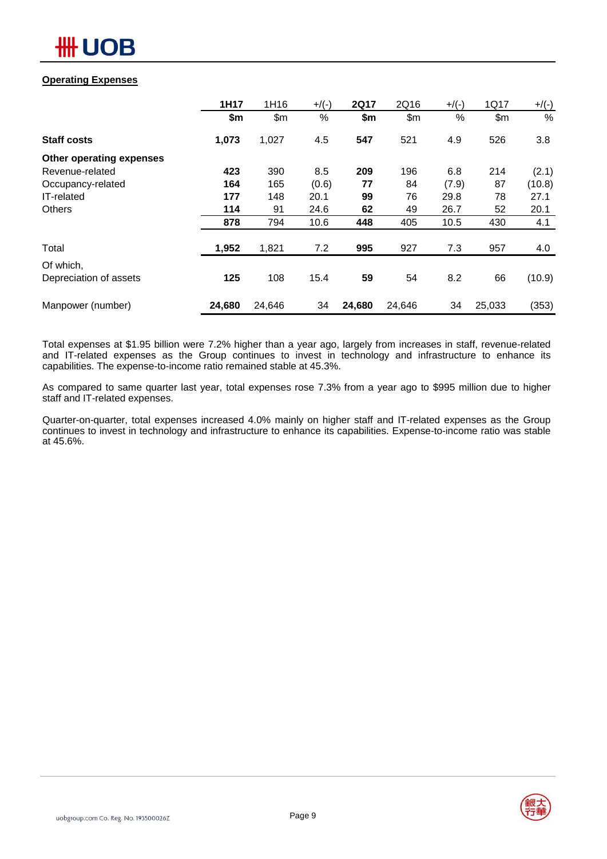

### **Operating Expenses**

|                          | 1H17   | 1H16   | $+$ /(-) | <b>2Q17</b> | 2Q16   | $+$ /(-) | 1Q17   | $+/(-)$ |
|--------------------------|--------|--------|----------|-------------|--------|----------|--------|---------|
|                          | \$m    | \$m\$  | $\%$     | \$m         | \$m\$  | %        | \$m\$  | %       |
| <b>Staff costs</b>       | 1,073  | 1,027  | 4.5      | 547         | 521    | 4.9      | 526    | 3.8     |
| Other operating expenses |        |        |          |             |        |          |        |         |
| Revenue-related          | 423    | 390    | 8.5      | 209         | 196    | 6.8      | 214    | (2.1)   |
| Occupancy-related        | 164    | 165    | (0.6)    | 77          | 84     | (7.9)    | 87     | (10.8)  |
| IT-related               | 177    | 148    | 20.1     | 99          | 76     | 29.8     | 78     | 27.1    |
| Others                   | 114    | 91     | 24.6     | 62          | 49     | 26.7     | 52     | 20.1    |
|                          | 878    | 794    | 10.6     | 448         | 405    | 10.5     | 430    | 4.1     |
| Total                    | 1,952  | 1,821  | 7.2      | 995         | 927    | 7.3      | 957    | 4.0     |
| Of which,                |        |        |          |             |        |          |        |         |
| Depreciation of assets   | 125    | 108    | 15.4     | 59          | 54     | 8.2      | 66     | (10.9)  |
| Manpower (number)        | 24,680 | 24,646 | 34       | 24,680      | 24,646 | 34       | 25,033 | (353)   |

Total expenses at \$1.95 billion were 7.2% higher than a year ago, largely from increases in staff, revenue-related and IT-related expenses as the Group continues to invest in technology and infrastructure to enhance its capabilities. The expense-to-income ratio remained stable at 45.3%.

As compared to same quarter last year, total expenses rose 7.3% from a year ago to \$995 million due to higher staff and IT-related expenses.

Quarter-on-quarter, total expenses increased 4.0% mainly on higher staff and IT-related expenses as the Group continues to invest in technology and infrastructure to enhance its capabilities. Expense-to-income ratio was stable at 45.6%.

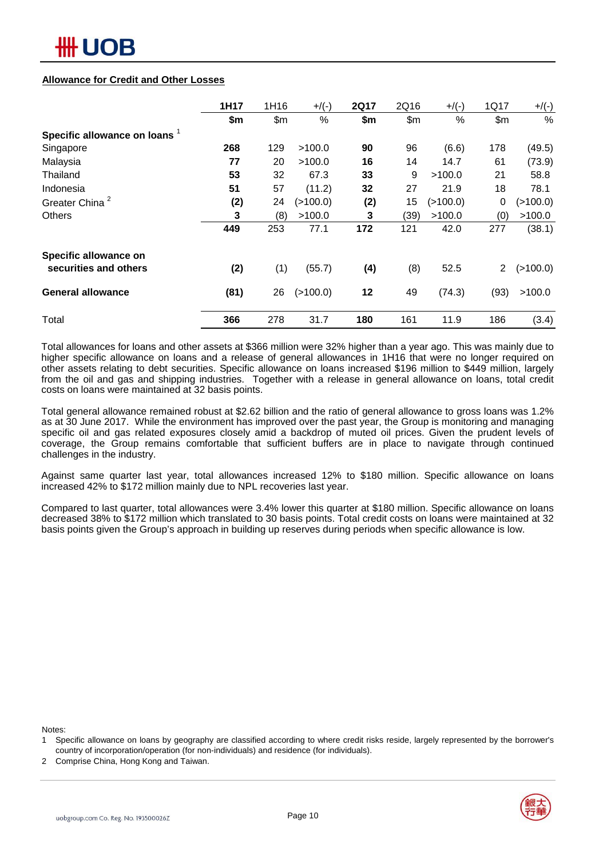#### **Allowance for Credit and Other Losses**

|                               | 1H17 | 1H16 | $+$ /(-) | <b>2Q17</b> | 2Q16  | $+$ /(-) | 1Q17           | $+/(-)$     |
|-------------------------------|------|------|----------|-------------|-------|----------|----------------|-------------|
|                               | \$m  | \$m  | %        | \$m         | \$m\$ | %        | \$m            | $\%$        |
| Specific allowance on loans 1 |      |      |          |             |       |          |                |             |
| Singapore                     | 268  | 129  | >100.0   | 90          | 96    | (6.6)    | 178            | (49.5)      |
| Malaysia                      | 77   | 20   | >100.0   | 16          | 14    | 14.7     | 61             | (73.9)      |
| Thailand                      | 53   | 32   | 67.3     | 33          | 9     | >100.0   | 21             | 58.8        |
| Indonesia                     | 51   | 57   | (11.2)   | 32          | 27    | 21.9     | 18             | 78.1        |
| Greater China <sup>2</sup>    | (2)  | 24   | (>100.0) | (2)         | 15    | (>100.0) | 0              | (>100.0)    |
| <b>Others</b>                 | 3    | (8)  | >100.0   | 3           | (39)  | >100.0   | (0)            | >100.0      |
|                               | 449  | 253  | 77.1     | 172         | 121   | 42.0     | 277            | (38.1)      |
| Specific allowance on         |      |      |          |             |       |          |                |             |
| securities and others         | (2)  | (1)  | (55.7)   | (4)         | (8)   | 52.5     | $\overline{2}$ | $($ >100.0) |
| <b>General allowance</b>      | (81) | 26   | (>100.0) | 12          | 49    | (74.3)   | (93)           | >100.0      |
| Total                         | 366  | 278  | 31.7     | 180         | 161   | 11.9     | 186            | (3.4)       |

Total allowances for loans and other assets at \$366 million were 32% higher than a year ago. This was mainly due to higher specific allowance on loans and a release of general allowances in 1H16 that were no longer required on other assets relating to debt securities. Specific allowance on loans increased \$196 million to \$449 million, largely from the oil and gas and shipping industries. Together with a release in general allowance on loans, total credit costs on loans were maintained at 32 basis points.

Total general allowance remained robust at \$2.62 billion and the ratio of general allowance to gross loans was 1.2% as at 30 June 2017. While the environment has improved over the past year, the Group is monitoring and managing specific oil and gas related exposures closely amid a backdrop of muted oil prices. Given the prudent levels of coverage, the Group remains comfortable that sufficient buffers are in place to navigate through continued challenges in the industry.

Against same quarter last year, total allowances increased 12% to \$180 million. Specific allowance on loans increased 42% to \$172 million mainly due to NPL recoveries last year.

Compared to last quarter, total allowances were 3.4% lower this quarter at \$180 million. Specific allowance on loans decreased 38% to \$172 million which translated to 30 basis points. Total credit costs on loans were maintained at 32 basis points given the Group's approach in building up reserves during periods when specific allowance is low.

Notes:

2 Comprise China, Hong Kong and Taiwan.



<sup>1</sup> Specific allowance on loans by geography are classified according to where credit risks reside, largely represented by the borrower's country of incorporation/operation (for non-individuals) and residence (for individuals).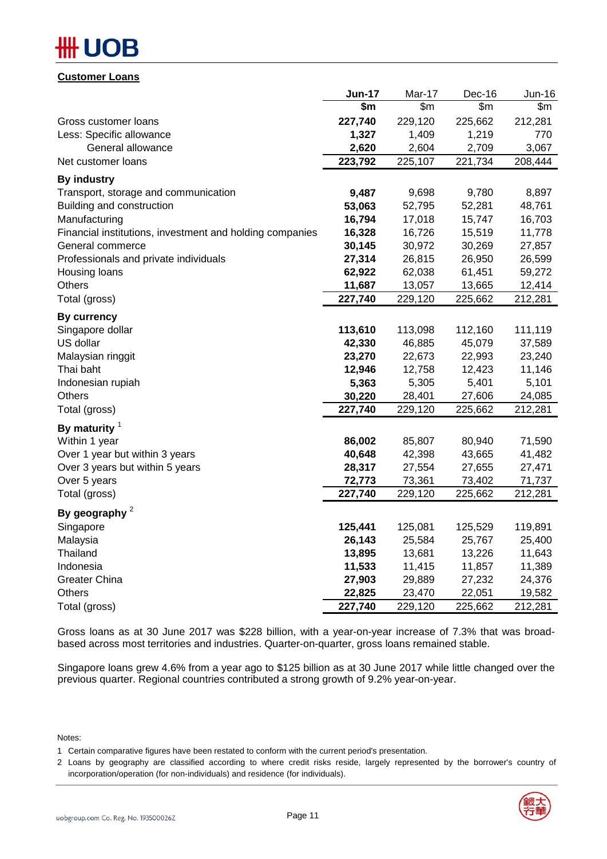# DВ

**Customer Loans**

|                                                          | Jun-17  | Mar-17  | Dec-16  | Jun-16  |
|----------------------------------------------------------|---------|---------|---------|---------|
|                                                          | \$m     | \$m     | \$m\$   | \$m     |
| Gross customer loans                                     | 227,740 | 229,120 | 225,662 | 212,281 |
| Less: Specific allowance                                 | 1,327   | 1,409   | 1,219   | 770     |
| General allowance                                        | 2,620   | 2,604   | 2,709   | 3,067   |
| Net customer loans                                       | 223,792 | 225,107 | 221,734 | 208,444 |
| <b>By industry</b>                                       |         |         |         |         |
| Transport, storage and communication                     | 9,487   | 9,698   | 9,780   | 8,897   |
| Building and construction                                | 53,063  | 52,795  | 52,281  | 48,761  |
| Manufacturing                                            | 16,794  | 17,018  | 15,747  | 16,703  |
| Financial institutions, investment and holding companies | 16,328  | 16,726  | 15,519  | 11,778  |
| General commerce                                         | 30,145  | 30,972  | 30,269  | 27,857  |
| Professionals and private individuals                    | 27,314  | 26,815  | 26,950  | 26,599  |
| Housing loans                                            | 62,922  | 62,038  | 61,451  | 59,272  |
| <b>Others</b>                                            | 11,687  | 13,057  | 13,665  | 12,414  |
| Total (gross)                                            | 227,740 | 229,120 | 225,662 | 212,281 |
| <b>By currency</b>                                       |         |         |         |         |
| Singapore dollar                                         | 113,610 | 113,098 | 112,160 | 111,119 |
| US dollar                                                | 42,330  | 46,885  | 45,079  | 37,589  |
| Malaysian ringgit                                        | 23,270  | 22,673  | 22,993  | 23,240  |
| Thai baht                                                | 12,946  | 12,758  | 12,423  | 11,146  |
| Indonesian rupiah                                        | 5,363   | 5,305   | 5,401   | 5,101   |
| <b>Others</b>                                            | 30,220  | 28,401  | 27,606  | 24,085  |
| Total (gross)                                            | 227,740 | 229,120 | 225,662 | 212,281 |
| By maturity $1$                                          |         |         |         |         |
| Within 1 year                                            | 86,002  | 85,807  | 80,940  | 71,590  |
| Over 1 year but within 3 years                           | 40,648  | 42,398  | 43,665  | 41,482  |
| Over 3 years but within 5 years                          | 28,317  | 27,554  | 27,655  | 27,471  |
| Over 5 years                                             | 72,773  | 73,361  | 73,402  | 71,737  |
| Total (gross)                                            | 227,740 | 229,120 | 225,662 | 212,281 |
| By geography $2$                                         |         |         |         |         |
| Singapore                                                | 125,441 | 125,081 | 125,529 | 119,891 |
| Malaysia                                                 | 26,143  | 25,584  | 25,767  | 25,400  |
| Thailand                                                 | 13,895  | 13,681  | 13,226  | 11,643  |
| Indonesia                                                | 11,533  | 11,415  | 11,857  | 11,389  |
| <b>Greater China</b>                                     | 27,903  | 29,889  | 27,232  | 24,376  |
| <b>Others</b>                                            | 22,825  | 23,470  | 22,051  | 19,582  |
| Total (gross)                                            | 227,740 | 229,120 | 225,662 | 212,281 |

Gross loans as at 30 June 2017 was \$228 billion, with a year-on-year increase of 7.3% that was broadbased across most territories and industries. Quarter-on-quarter, gross loans remained stable.

Singapore loans grew 4.6% from a year ago to \$125 billion as at 30 June 2017 while little changed over the previous quarter. Regional countries contributed a strong growth of 9.2% year-on-year.

Notes:

<sup>2</sup> Loans by geography are classified according to where credit risks reside, largely represented by the borrower's country of incorporation/operation (for non-individuals) and residence (for individuals).



<sup>1</sup> Certain comparative figures have been restated to conform with the current period's presentation.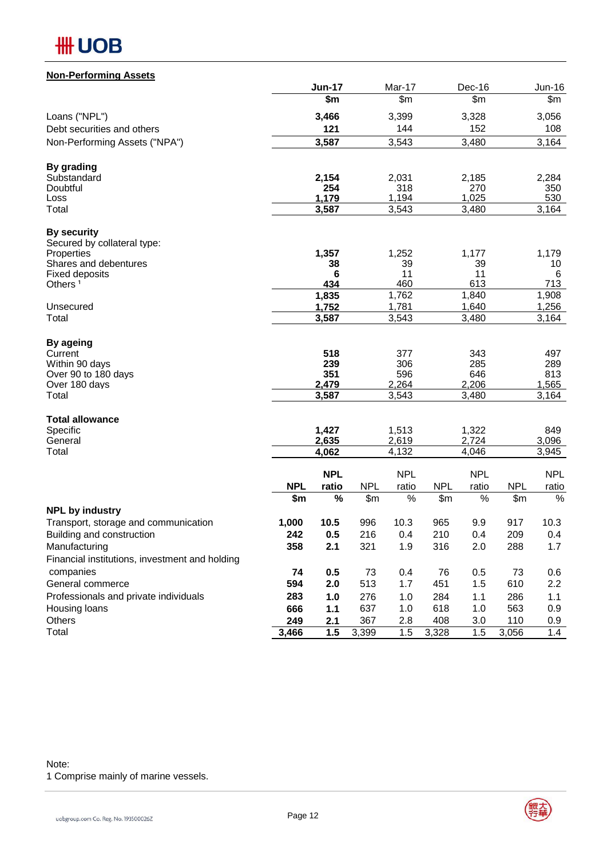

### **Non-Performing Assets**

|                                                                 |            | <b>Jun-17</b> |            | Mar-17       |            | Dec-16       |            | <b>Jun-16</b> |
|-----------------------------------------------------------------|------------|---------------|------------|--------------|------------|--------------|------------|---------------|
|                                                                 |            | \$m           |            | \$m\$        |            | \$m          |            | \$m\$         |
| Loans ("NPL")                                                   |            | 3,466         |            | 3,399        |            | 3,328        |            | 3,056         |
| Debt securities and others                                      |            | 121           |            | 144          |            | 152          |            | 108           |
| Non-Performing Assets ("NPA")                                   |            | 3,587         |            | 3,543        |            | 3,480        |            | 3,164         |
| By grading                                                      |            |               |            |              |            |              |            |               |
| Substandard                                                     |            | 2,154         |            | 2,031        |            | 2,185        |            | 2,284         |
| Doubtful                                                        |            | 254           |            | 318          |            | 270          |            | 350           |
| Loss                                                            |            | 1,179         |            | 1,194        |            | 1,025        |            | 530           |
| Total                                                           |            | 3,587         |            | 3,543        |            | 3,480        |            | 3,164         |
| <b>By security</b>                                              |            |               |            |              |            |              |            |               |
| Secured by collateral type:                                     |            |               |            |              |            |              |            |               |
| Properties<br>Shares and debentures                             |            | 1,357<br>38   |            | 1,252<br>39  |            | 1,177<br>39  |            | 1,179<br>10   |
| <b>Fixed deposits</b>                                           |            | 6             |            | 11           |            | 11           |            | 6             |
| Others <sup>1</sup>                                             |            | 434           |            | 460          |            | 613          |            | 713           |
|                                                                 |            | 1,835         |            | 1,762        |            | 1,840        |            | 1,908         |
| Unsecured<br>Total                                              |            | 1,752         |            | 1,781        |            | 1,640        |            | 1,256         |
|                                                                 |            | 3,587         |            | 3,543        |            | 3,480        |            | 3,164         |
| By ageing                                                       |            |               |            |              |            |              |            |               |
| Current                                                         |            | 518           |            | 377          |            | 343          |            | 497           |
| Within 90 days                                                  |            | 239           |            | 306          |            | 285          |            | 289           |
| Over 90 to 180 days<br>Over 180 days                            |            | 351<br>2,479  |            | 596<br>2,264 |            | 646<br>2,206 |            | 813<br>1,565  |
| Total                                                           |            | 3,587         |            | 3,543        |            | 3,480        |            | 3,164         |
|                                                                 |            |               |            |              |            |              |            |               |
| <b>Total allowance</b><br>Specific                              |            | 1,427         |            | 1,513        |            | 1,322        |            | 849           |
| General                                                         |            | 2,635         |            | 2,619        |            | 2,724        |            | 3,096         |
| Total                                                           |            | 4,062         |            | 4,132        |            | 4,046        |            | 3,945         |
|                                                                 |            | <b>NPL</b>    |            | <b>NPL</b>   |            | <b>NPL</b>   |            | <b>NPL</b>    |
|                                                                 | <b>NPL</b> | ratio         | <b>NPL</b> | ratio        | <b>NPL</b> | ratio        | <b>NPL</b> | ratio         |
|                                                                 | \$m        | $\%$          | \$m\$      | %            | \$m        | $\%$         | \$m        | $\%$          |
| <b>NPL by industry</b>                                          |            |               |            |              |            |              |            |               |
| Transport, storage and communication                            | 1,000      | 10.5          | 996        | 10.3         | 965        | 9.9          | 917        | 10.3          |
| Building and construction                                       | 242        | 0.5           | 216        | 0.4          | 210        | 0.4          | 209        | 0.4           |
| Manufacturing<br>Financial institutions, investment and holding | 358        | 2.1           | 321        | 1.9          | 316        | 2.0          | 288        | 1.7           |
| companies                                                       | 74         | 0.5           | 73         | 0.4          | 76         | 0.5          | 73         |               |
| General commerce                                                | 594        | 2.0           | 513        | 1.7          | 451        | 1.5          | 610        | 0.6<br>2.2    |
| Professionals and private individuals                           | 283        | 1.0           | 276        | 1.0          | 284        | 1.1          | 286        | 1.1           |
| Housing loans                                                   | 666        | $1.1$         | 637        | 1.0          | 618        | 1.0          | 563        | 0.9           |
| Others                                                          | 249        | 2.1           | 367        | 2.8          | 408        | 3.0          | 110        | 0.9           |
| Total                                                           | 3,466      | 1.5           | 3,399      | 1.5          | 3,328      | 1.5          | 3,056      | 1.4           |

#### Note:

1 Comprise mainly of marine vessels.

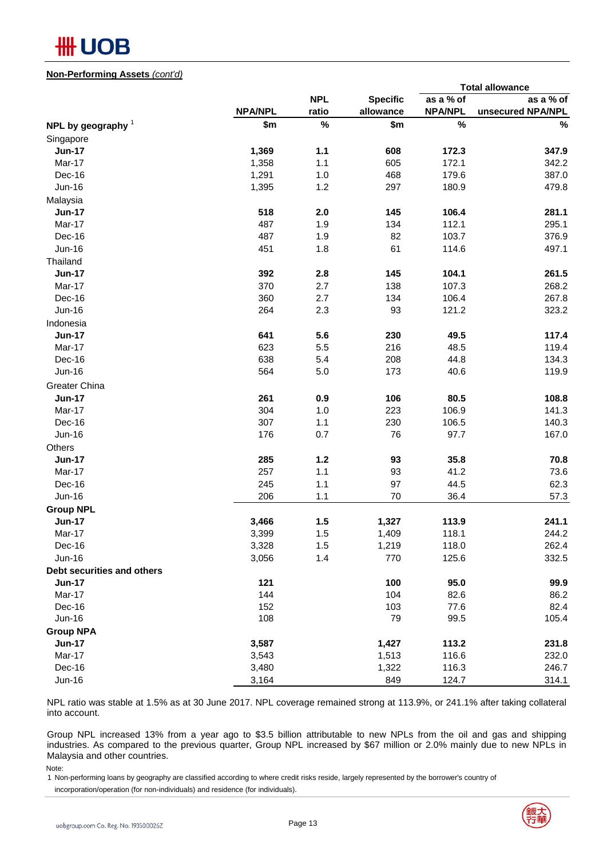

#### **Non-Performing Assets** *(cont'd)*

|                            |                |            |                 |                | <b>Total allowance</b> |
|----------------------------|----------------|------------|-----------------|----------------|------------------------|
|                            |                | <b>NPL</b> | <b>Specific</b> | as a % of      | as a % of              |
|                            | <b>NPA/NPL</b> | ratio      | allowance       | <b>NPA/NPL</b> | unsecured NPA/NPL      |
| NPL by geography $1$       | \$m            | $\%$       | \$m             | $\%$           | $\%$                   |
| Singapore                  |                |            |                 |                |                        |
| <b>Jun-17</b>              | 1,369          | $1.1$      | 608             | 172.3          | 347.9                  |
| Mar-17                     | 1,358          | 1.1        | 605             | 172.1          | 342.2                  |
| Dec-16                     | 1,291          | 1.0        | 468             | 179.6          | 387.0                  |
| Jun-16                     | 1,395          | 1.2        | 297             | 180.9          | 479.8                  |
| Malaysia                   |                |            |                 |                |                        |
| <b>Jun-17</b>              | 518            | 2.0        | 145             | 106.4          | 281.1                  |
| Mar-17                     | 487            | 1.9        | 134             | 112.1          | 295.1                  |
| Dec-16                     | 487            | 1.9        | 82              | 103.7          | 376.9                  |
| <b>Jun-16</b>              | 451            | 1.8        | 61              | 114.6          | 497.1                  |
| Thailand                   |                |            |                 |                |                        |
| <b>Jun-17</b>              | 392            | 2.8        | 145             | 104.1          | 261.5                  |
| Mar-17                     | 370            | 2.7        | 138             | 107.3          | 268.2                  |
| Dec-16                     | 360            | 2.7        | 134             | 106.4          | 267.8                  |
| Jun-16                     | 264            | 2.3        | 93              | 121.2          | 323.2                  |
| Indonesia                  |                |            |                 |                |                        |
| <b>Jun-17</b>              | 641            | 5.6        | 230             | 49.5           | 117.4                  |
| Mar-17                     | 623            | 5.5        | 216             | 48.5           | 119.4                  |
| Dec-16                     | 638            | 5.4        | 208             | 44.8           | 134.3                  |
| Jun-16                     | 564            | 5.0        | 173             | 40.6           | 119.9                  |
| Greater China              |                |            |                 |                |                        |
| <b>Jun-17</b>              | 261            | 0.9        | 106             | 80.5           | 108.8                  |
| Mar-17                     | 304            | 1.0        | 223             | 106.9          | 141.3                  |
| Dec-16                     | 307            | 1.1        | 230             | 106.5          | 140.3                  |
| <b>Jun-16</b>              | 176            | 0.7        | 76              | 97.7           | 167.0                  |
| Others                     |                |            |                 |                |                        |
| <b>Jun-17</b>              | 285            | $1.2$      | 93              | 35.8           | 70.8                   |
| Mar-17                     | 257            | 1.1        | 93              | 41.2           | 73.6                   |
| Dec-16                     | 245            | 1.1        | 97              | 44.5           | 62.3                   |
| Jun-16                     | 206            | 1.1        | 70              | 36.4           | 57.3                   |
| <b>Group NPL</b>           |                |            |                 |                |                        |
| <b>Jun-17</b>              | 3,466          | 1.5        | 1,327           | 113.9          | 241.1                  |
| Mar-17                     | 3,399          | 1.5        | 1,409           | 118.1          | 244.2                  |
| Dec-16                     | 3,328          | 1.5        | 1,219           | 118.0          | 262.4                  |
| <b>Jun-16</b>              | 3,056          | 1.4        | 770             | 125.6          | 332.5                  |
| Debt securities and others |                |            |                 |                |                        |
| <b>Jun-17</b>              | 121            |            | 100             | 95.0           | 99.9                   |
| Mar-17                     | 144            |            | 104             | 82.6           | 86.2                   |
| Dec-16                     | 152            |            | 103             | 77.6           | 82.4                   |
| Jun-16                     | 108            |            | 79              | 99.5           | 105.4                  |
| <b>Group NPA</b>           |                |            |                 |                |                        |
| <b>Jun-17</b>              | 3,587          |            | 1,427           | 113.2          | 231.8                  |
| Mar-17                     | 3,543          |            | 1,513           | 116.6          | 232.0                  |
| Dec-16                     | 3,480          |            | 1,322           | 116.3          | 246.7                  |
| <b>Jun-16</b>              | 3,164          |            | 849             | 124.7          | 314.1                  |

NPL ratio was stable at 1.5% as at 30 June 2017. NPL coverage remained strong at 113.9%, or 241.1% after taking collateral into account.

Group NPL increased 13% from a year ago to \$3.5 billion attributable to new NPLs from the oil and gas and shipping industries. As compared to the previous quarter, Group NPL increased by \$67 million or 2.0% mainly due to new NPLs in Malaysia and other countries.

Note:

1 Non-performing loans by geography are classified according to where credit risks reside, largely represented by the borrower's country of incorporation/operation (for non-individuals) and residence (for individuals).

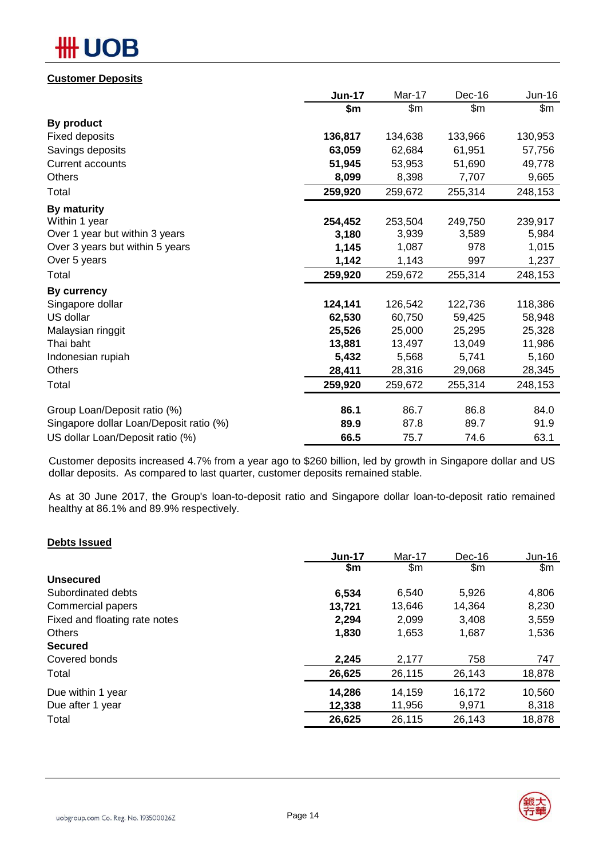# **OB**

### **Customer Deposits**

|                                         | <b>Jun-17</b> | Mar-17  | Dec-16  | <b>Jun-16</b> |
|-----------------------------------------|---------------|---------|---------|---------------|
|                                         | \$m           | \$m\$   | \$m\$   | \$m           |
| By product                              |               |         |         |               |
| <b>Fixed deposits</b>                   | 136,817       | 134,638 | 133,966 | 130,953       |
| Savings deposits                        | 63,059        | 62,684  | 61,951  | 57,756        |
| <b>Current accounts</b>                 | 51,945        | 53,953  | 51,690  | 49,778        |
| <b>Others</b>                           | 8,099         | 8,398   | 7,707   | 9,665         |
| Total                                   | 259,920       | 259,672 | 255,314 | 248,153       |
| By maturity                             |               |         |         |               |
| Within 1 year                           | 254,452       | 253,504 | 249,750 | 239,917       |
| Over 1 year but within 3 years          | 3,180         | 3,939   | 3,589   | 5,984         |
| Over 3 years but within 5 years         | 1,145         | 1,087   | 978     | 1,015         |
| Over 5 years                            | 1,142         | 1,143   | 997     | 1,237         |
| Total                                   | 259,920       | 259,672 | 255,314 | 248,153       |
| <b>By currency</b>                      |               |         |         |               |
| Singapore dollar                        | 124,141       | 126,542 | 122,736 | 118,386       |
| US dollar                               | 62,530        | 60,750  | 59,425  | 58,948        |
| Malaysian ringgit                       | 25,526        | 25,000  | 25,295  | 25,328        |
| Thai baht                               | 13,881        | 13,497  | 13,049  | 11,986        |
| Indonesian rupiah                       | 5,432         | 5,568   | 5,741   | 5,160         |
| <b>Others</b>                           | 28,411        | 28,316  | 29,068  | 28,345        |
| Total                                   | 259,920       | 259,672 | 255,314 | 248,153       |
| Group Loan/Deposit ratio (%)            | 86.1          | 86.7    | 86.8    | 84.0          |
| Singapore dollar Loan/Deposit ratio (%) | 89.9          | 87.8    | 89.7    | 91.9          |
| US dollar Loan/Deposit ratio (%)        | 66.5          | 75.7    | 74.6    | 63.1          |

Customer deposits increased 4.7% from a year ago to \$260 billion, led by growth in Singapore dollar and US dollar deposits. As compared to last quarter, customer deposits remained stable.

As at 30 June 2017, the Group's loan-to-deposit ratio and Singapore dollar loan-to-deposit ratio remained healthy at 86.1% and 89.9% respectively.

### **Debts Issued**

| <b>Jun-17</b> | Mar-17 | Dec-16 | Jun-16        |
|---------------|--------|--------|---------------|
| \$m           | \$m    | \$m    | $\mathsf{Sm}$ |
|               |        |        |               |
| 6,534         | 6,540  | 5,926  | 4,806         |
| 13,721        | 13.646 | 14,364 | 8,230         |
| 2,294         | 2,099  | 3,408  | 3,559         |
| 1,830         | 1,653  | 1,687  | 1,536         |
|               |        |        |               |
| 2,245         | 2,177  | 758    | 747           |
| 26,625        | 26,115 | 26,143 | 18,878        |
| 14,286        | 14,159 | 16,172 | 10,560        |
| 12,338        | 11,956 | 9,971  | 8,318         |
| 26,625        | 26,115 | 26,143 | 18,878        |
|               |        |        |               |

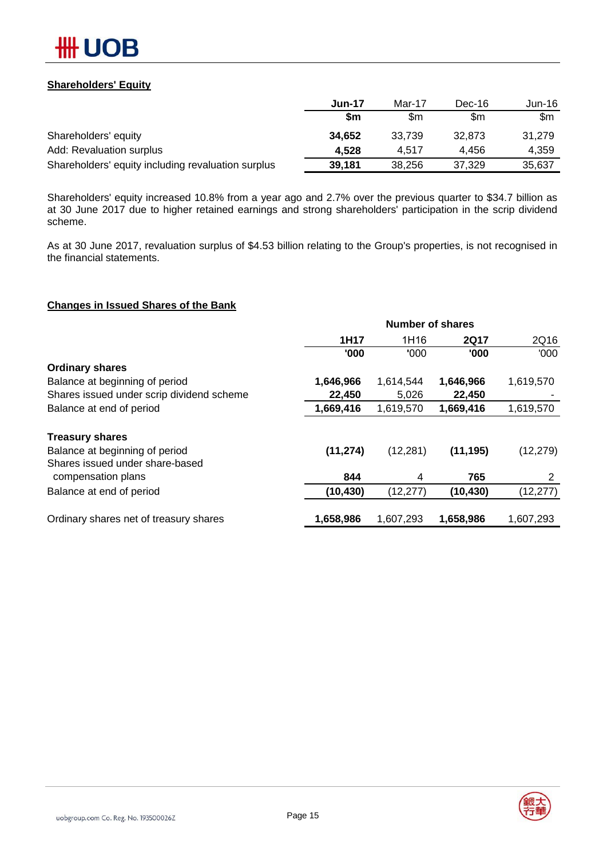

### **Shareholders' Equity**

|                                                    | <b>Jun-17</b> | Mar-17 | Dec-16 | Jun-16 |
|----------------------------------------------------|---------------|--------|--------|--------|
|                                                    | \$m           | \$m    | \$m    | \$m    |
| Shareholders' equity                               | 34,652        | 33.739 | 32.873 | 31.279 |
| Add: Revaluation surplus                           | 4.528         | 4.517  | 4.456  | 4.359  |
| Shareholders' equity including revaluation surplus | 39,181        | 38,256 | 37.329 | 35,637 |

Shareholders' equity increased 10.8% from a year ago and 2.7% over the previous quarter to \$34.7 billion as at 30 June 2017 due to higher retained earnings and strong shareholders' participation in the scrip dividend scheme.

As at 30 June 2017, revaluation surplus of \$4.53 billion relating to the Group's properties, is not recognised in the financial statements.

#### **Changes in Issued Shares of the Bank**

|                                           | <b>Number of shares</b> |           |             |           |  |
|-------------------------------------------|-------------------------|-----------|-------------|-----------|--|
|                                           | 1H17                    | 1H16      | <b>2Q17</b> | 2Q16      |  |
|                                           | '000                    | '000      | '000        | '000'     |  |
| <b>Ordinary shares</b>                    |                         |           |             |           |  |
| Balance at beginning of period            | 1,646,966               | 1,614,544 | 1,646,966   | 1,619,570 |  |
| Shares issued under scrip dividend scheme | 22,450                  | 5,026     | 22,450      |           |  |
| Balance at end of period                  | 1,669,416               | 1,619,570 | 1,669,416   | 1,619,570 |  |
| <b>Treasury shares</b>                    |                         |           |             |           |  |
| Balance at beginning of period            | (11, 274)               | (12, 281) | (11, 195)   | (12, 279) |  |
| Shares issued under share-based           |                         |           |             |           |  |
| compensation plans                        | 844                     | 4         | 765         | 2         |  |
| Balance at end of period                  | (10,430)                | (12, 277) | (10, 430)   | (12, 277) |  |
| Ordinary shares net of treasury shares    | 1,658,986               | 1,607,293 | 1,658,986   | 1,607,293 |  |

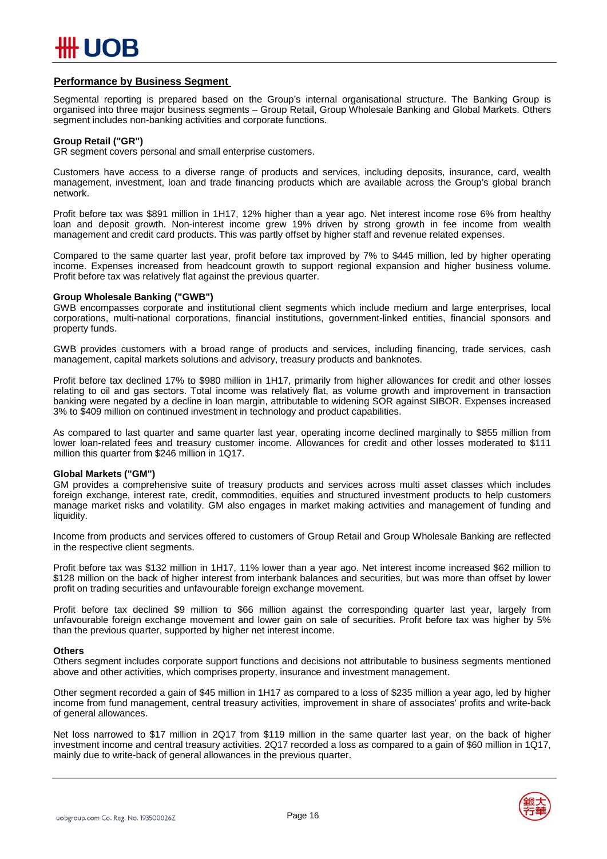

#### **Performance by Business Segment**

Segmental reporting is prepared based on the Group's internal organisational structure. The Banking Group is organised into three major business segments – Group Retail, Group Wholesale Banking and Global Markets. Others segment includes non-banking activities and corporate functions.

#### **Group Retail ("GR")**

GR segment covers personal and small enterprise customers.

Customers have access to a diverse range of products and services, including deposits, insurance, card, wealth management, investment, loan and trade financing products which are available across the Group's global branch network.

Profit before tax was \$891 million in 1H17, 12% higher than a year ago. Net interest income rose 6% from healthy loan and deposit growth. Non-interest income grew 19% driven by strong growth in fee income from wealth management and credit card products. This was partly offset by higher staff and revenue related expenses.

Compared to the same quarter last year, profit before tax improved by 7% to \$445 million, led by higher operating income. Expenses increased from headcount growth to support regional expansion and higher business volume. Profit before tax was relatively flat against the previous quarter.

#### **Group Wholesale Banking ("GWB")**

GWB encompasses corporate and institutional client segments which include medium and large enterprises, local corporations, multi-national corporations, financial institutions, government-linked entities, financial sponsors and property funds.

GWB provides customers with a broad range of products and services, including financing, trade services, cash management, capital markets solutions and advisory, treasury products and banknotes.

Profit before tax declined 17% to \$980 million in 1H17, primarily from higher allowances for credit and other losses relating to oil and gas sectors. Total income was relatively flat, as volume growth and improvement in transaction banking were negated by a decline in loan margin, attributable to widening SOR against SIBOR. Expenses increased 3% to \$409 million on continued investment in technology and product capabilities.

As compared to last quarter and same quarter last year, operating income declined marginally to \$855 million from lower loan-related fees and treasury customer income. Allowances for credit and other losses moderated to \$111 million this quarter from \$246 million in 1Q17.

#### **Global Markets ("GM")**

GM provides a comprehensive suite of treasury products and services across multi asset classes which includes foreign exchange, interest rate, credit, commodities, equities and structured investment products to help customers manage market risks and volatility. GM also engages in market making activities and management of funding and liquidity.

Income from products and services offered to customers of Group Retail and Group Wholesale Banking are reflected in the respective client segments.

Profit before tax was \$132 million in 1H17, 11% lower than a year ago. Net interest income increased \$62 million to \$128 million on the back of higher interest from interbank balances and securities, but was more than offset by lower profit on trading securities and unfavourable foreign exchange movement.

Profit before tax declined \$9 million to \$66 million against the corresponding quarter last year, largely from unfavourable foreign exchange movement and lower gain on sale of securities. Profit before tax was higher by 5% than the previous quarter, supported by higher net interest income.

#### **Others**

Others segment includes corporate support functions and decisions not attributable to business segments mentioned above and other activities, which comprises property, insurance and investment management.

Other segment recorded a gain of \$45 million in 1H17 as compared to a loss of \$235 million a year ago, led by higher income from fund management, central treasury activities, improvement in share of associates' profits and write-back of general allowances.

Net loss narrowed to \$17 million in 2Q17 from \$119 million in the same quarter last year, on the back of higher investment income and central treasury activities. 2Q17 recorded a loss as compared to a gain of \$60 million in 1Q17, mainly due to write-back of general allowances in the previous quarter.

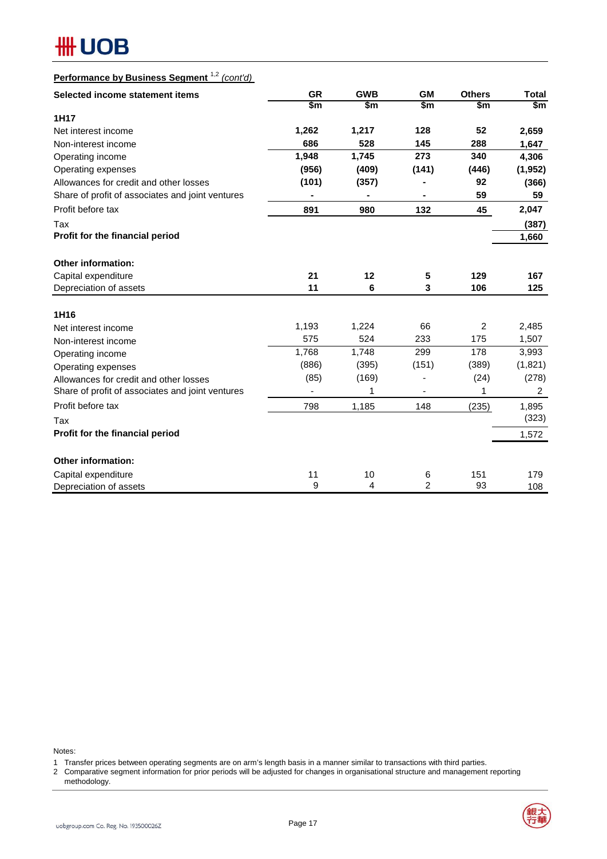# **HH UOB**

# **Performance by Business Segment** 1,2 *(cont'd)*

| Selected income statement items                  | <b>GR</b> | <b>GWB</b> | <b>GM</b>      | <b>Others</b> | <b>Total</b>   |
|--------------------------------------------------|-----------|------------|----------------|---------------|----------------|
|                                                  | \$m       | \$m        | \$m            | \$m           | \$m            |
| 1H17                                             |           |            |                |               |                |
| Net interest income                              | 1,262     | 1,217      | 128            | 52            | 2,659          |
| Non-interest income                              | 686       | 528        | 145            | 288           | 1,647          |
| Operating income                                 | 1,948     | 1,745      | 273            | 340           | 4,306          |
| Operating expenses                               | (956)     | (409)      | (141)          | (446)         | (1, 952)       |
| Allowances for credit and other losses           | (101)     | (357)      |                | 92            | (366)          |
| Share of profit of associates and joint ventures |           |            |                | 59            | 59             |
| Profit before tax                                | 891       | 980        | 132            | 45            | 2,047          |
| Tax                                              |           |            |                |               | (387)          |
| Profit for the financial period                  |           |            |                |               | 1,660          |
|                                                  |           |            |                |               |                |
| <b>Other information:</b>                        |           |            |                |               |                |
| Capital expenditure                              | 21        | 12         | 5              | 129           | 167            |
| Depreciation of assets                           | 11        | 6          | 3              | 106           | 125            |
| 1H16                                             |           |            |                |               |                |
| Net interest income                              | 1,193     | 1,224      | 66             | 2             | 2,485          |
| Non-interest income                              | 575       | 524        | 233            | 175           | 1,507          |
| Operating income                                 | 1,768     | 1,748      | 299            | 178           | 3,993          |
| Operating expenses                               | (886)     | (395)      | (151)          | (389)         | (1,821)        |
| Allowances for credit and other losses           | (85)      | (169)      |                | (24)          | (278)          |
| Share of profit of associates and joint ventures |           | 1          |                | 1             | $\overline{2}$ |
| Profit before tax                                | 798       | 1,185      | 148            | (235)         | 1,895          |
| Tax                                              |           |            |                |               | (323)          |
| Profit for the financial period                  |           |            |                |               | 1,572          |
| <b>Other information:</b>                        |           |            |                |               |                |
| Capital expenditure                              | 11        | 10         | 6              | 151           | 179            |
| Depreciation of assets                           | 9         | 4          | $\overline{2}$ | 93            | 108            |

Notes:

1 Transfer prices between operating segments are on arm's length basis in a manner similar to transactions with third parties.

2 Comparative segment information for prior periods will be adjusted for changes in organisational structure and management reporting methodology.

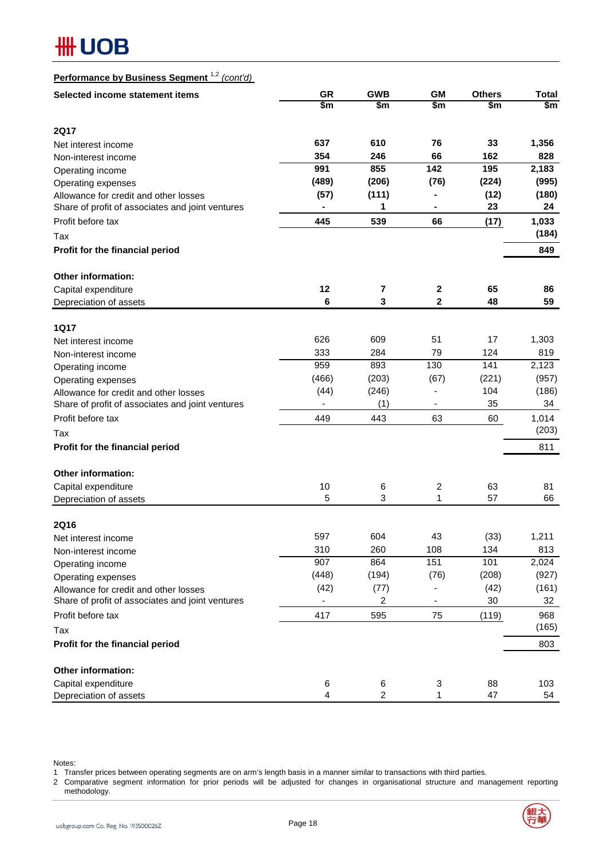# **HH UOB**

| Performance by Business Segment <sup>1,2</sup> (cont'd) |  |
|---------------------------------------------------------|--|
|---------------------------------------------------------|--|

| Selected income statement items                             | <b>GR</b> | <b>GWB</b>     | <b>GM</b>        | <b>Others</b> | <b>Total</b> |
|-------------------------------------------------------------|-----------|----------------|------------------|---------------|--------------|
|                                                             | \$m       | \$m            | \$m              | \$m           | \$m          |
| <b>2Q17</b>                                                 |           |                |                  |               |              |
| Net interest income                                         | 637       | 610            | 76               | 33            | 1,356        |
| Non-interest income                                         | 354       | 246            | 66               | 162           | 828          |
| Operating income                                            | 991       | 855            | 142              | 195           | 2,183        |
| Operating expenses                                          | (489)     | (206)          | (76)             | (224)         | (995)        |
| Allowance for credit and other losses                       | (57)      | (111)          |                  | (12)          | (180)        |
| Share of profit of associates and joint ventures            |           | 1              |                  | 23            | 24           |
| Profit before tax                                           | 445       | 539            | 66               | (17)          | 1,033        |
| Tax                                                         |           |                |                  |               | (184)        |
| Profit for the financial period                             |           |                |                  |               | 849          |
| <b>Other information:</b>                                   |           |                |                  |               |              |
| Capital expenditure                                         | 12        | 7              | $\boldsymbol{2}$ | 65            | 86           |
| Depreciation of assets                                      | 6         | 3              | $\mathbf 2$      | 48            | 59           |
|                                                             |           |                |                  |               |              |
| <b>1Q17</b>                                                 | 626       | 609            | 51               | 17            |              |
| Net interest income                                         | 333       | 284            | 79               | 124           | 1,303<br>819 |
| Non-interest income                                         | 959       | 893            | 130              | 141           | 2,123        |
| Operating income                                            | (466)     | (203)          | (67)             | (221)         | (957)        |
| Operating expenses<br>Allowance for credit and other losses | (44)      | (246)          |                  | 104           | (186)        |
| Share of profit of associates and joint ventures            |           | (1)            |                  | 35            | 34           |
| Profit before tax                                           | 449       | 443            | 63               | 60            | 1,014        |
| Tax                                                         |           |                |                  |               | (203)        |
| Profit for the financial period                             |           |                |                  |               | 811          |
| Other information:                                          |           |                |                  |               |              |
| Capital expenditure                                         | 10        | 6              | 2                | 63            | 81           |
| Depreciation of assets                                      | 5         | 3              | 1                | 57            | 66           |
|                                                             |           |                |                  |               |              |
| <b>2Q16</b><br>Net interest income                          | 597       | 604            | 43               | (33)          | 1,211        |
| Non-interest income                                         | 310       | 260            | 108              | 134           | 813          |
| Operating income                                            | 907       | 864            | 151              | 101           | 2,024        |
| Operating expenses                                          | (448)     | (194)          | (76)             | (208)         | (927)        |
| Allowance for credit and other losses                       | (42)      | (77)           |                  | (42)          | (161)        |
| Share of profit of associates and joint ventures            |           | $\overline{c}$ |                  | 30            | 32           |
| Profit before tax                                           | 417       | 595            | 75               | (119)         | 968          |
| Tax                                                         |           |                |                  |               | (165)        |
| Profit for the financial period                             |           |                |                  |               | 803          |
| Other information:                                          |           |                |                  |               |              |
| Capital expenditure                                         | 6         | 6              | 3                | 88            | 103          |
| Depreciation of assets                                      | 4         | $\overline{c}$ | $\mathbf{1}$     | 47            | 54           |

Notes:

1 Transfer prices between operating segments are on arm's length basis in a manner similar to transactions with third parties.

<sup>2</sup> Comparative segment information for prior periods will be adjusted for changes in organisational structure and management reporting methodology.

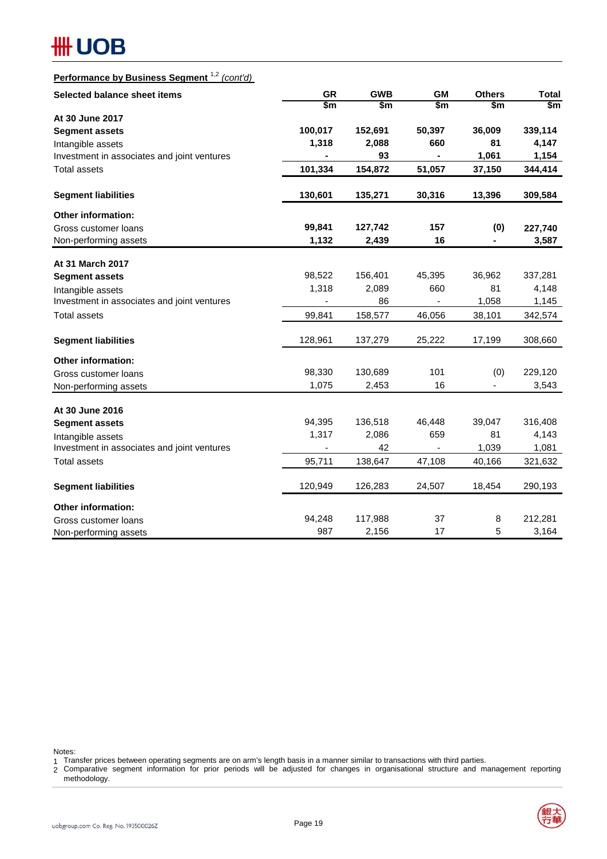# **#H UOB**

# **Performance by Business Segment** 1,2 *(cont'd)*

| <b>Selected balance sheet items</b>         | <b>GR</b> | <b>GWB</b> | <b>GM</b>                | <b>Others</b> | <b>Total</b> |
|---------------------------------------------|-----------|------------|--------------------------|---------------|--------------|
|                                             | \$m       | \$m        | \$m                      | $\frac{2}{3}$ | \$m          |
| At 30 June 2017                             |           |            |                          |               |              |
| <b>Segment assets</b>                       | 100,017   | 152,691    | 50,397                   | 36,009        | 339,114      |
| Intangible assets                           | 1,318     | 2,088      | 660                      | 81            | 4,147        |
| Investment in associates and joint ventures |           | 93         |                          | 1,061         | 1,154        |
| <b>Total assets</b>                         | 101,334   | 154,872    | 51,057                   | 37,150        | 344,414      |
| <b>Segment liabilities</b>                  | 130,601   | 135,271    | 30,316                   | 13,396        | 309,584      |
| <b>Other information:</b>                   |           |            |                          |               |              |
| Gross customer loans                        | 99,841    | 127,742    | 157                      | (0)           | 227,740      |
| Non-performing assets                       | 1,132     | 2,439      | 16                       | Ξ.            | 3,587        |
| At 31 March 2017                            |           |            |                          |               |              |
| <b>Segment assets</b>                       | 98,522    | 156,401    | 45,395                   | 36,962        | 337,281      |
| Intangible assets                           | 1,318     | 2,089      | 660                      | 81            | 4,148        |
| Investment in associates and joint ventures |           | 86         | $\overline{\phantom{a}}$ | 1,058         | 1,145        |
| <b>Total assets</b>                         | 99,841    | 158,577    | 46,056                   | 38,101        | 342,574      |
| <b>Segment liabilities</b>                  | 128,961   | 137,279    | 25,222                   | 17,199        | 308,660      |
| <b>Other information:</b>                   |           |            |                          |               |              |
| Gross customer loans                        | 98,330    | 130,689    | 101                      | (0)           | 229,120      |
| Non-performing assets                       | 1,075     | 2,453      | 16                       | $\frac{1}{2}$ | 3,543        |
| At 30 June 2016                             |           |            |                          |               |              |
| <b>Segment assets</b>                       | 94,395    | 136,518    | 46,448                   | 39,047        | 316,408      |
| Intangible assets                           | 1,317     | 2,086      | 659                      | 81            | 4,143        |
| Investment in associates and joint ventures |           | 42         | ÷,                       | 1,039         | 1,081        |
| <b>Total assets</b>                         | 95,711    | 138,647    | 47,108                   | 40,166        | 321,632      |
| <b>Segment liabilities</b>                  | 120,949   | 126,283    | 24,507                   | 18,454        | 290,193      |
| <b>Other information:</b>                   |           |            |                          |               |              |
| Gross customer loans                        | 94,248    | 117,988    | 37                       | 8             | 212,281      |
| Non-performing assets                       | 987       | 2,156      | 17                       | 5             | 3,164        |

Notes:

1 Transfer prices between operating segments are on arm's length basis in a manner similar to transactions with third parties.

2 Comparative segment information for prior periods will be adjusted for changes in organisational structure and management reporting methodology.

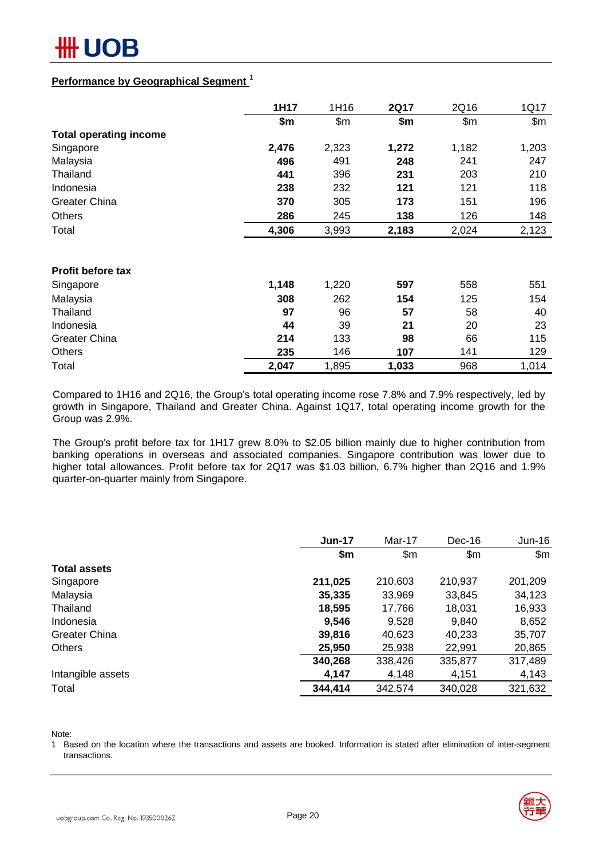

### **Performance by Geographical Segment** <sup>1</sup>

|                               | 1H17  | 1H16  | 2Q17  | 2Q16  | 1Q17  |
|-------------------------------|-------|-------|-------|-------|-------|
|                               | \$m   | \$m\$ | \$m   | \$m\$ | \$m\$ |
| <b>Total operating income</b> |       |       |       |       |       |
| Singapore                     | 2,476 | 2,323 | 1,272 | 1,182 | 1,203 |
| Malaysia                      | 496   | 491   | 248   | 241   | 247   |
| Thailand                      | 441   | 396   | 231   | 203   | 210   |
| Indonesia                     | 238   | 232   | 121   | 121   | 118   |
| <b>Greater China</b>          | 370   | 305   | 173   | 151   | 196   |
| <b>Others</b>                 | 286   | 245   | 138   | 126   | 148   |
| Total                         | 4,306 | 3,993 | 2,183 | 2,024 | 2,123 |
|                               |       |       |       |       |       |
| <b>Profit before tax</b>      |       |       |       |       |       |
| Singapore                     | 1,148 | 1,220 | 597   | 558   | 551   |
| Malaysia                      | 308   | 262   | 154   | 125   | 154   |
| Thailand                      | 97    | 96    | 57    | 58    | 40    |
| Indonesia                     | 44    | 39    | 21    | 20    | 23    |
| <b>Greater China</b>          | 214   | 133   | 98    | 66    | 115   |
| <b>Others</b>                 | 235   | 146   | 107   | 141   | 129   |
| Total                         | 2,047 | 1,895 | 1,033 | 968   | 1,014 |

Compared to 1H16 and 2Q16, the Group's total operating income rose 7.8% and 7.9% respectively, led by growth in Singapore, Thailand and Greater China. Against 1Q17, total operating income growth for the Group was 2.9%.

The Group's profit before tax for 1H17 grew 8.0% to \$2.05 billion mainly due to higher contribution from banking operations in overseas and associated companies. Singapore contribution was lower due to higher total allowances. Profit before tax for 2Q17 was \$1.03 billion, 6.7% higher than 2Q16 and 1.9% quarter-on-quarter mainly from Singapore.

|                     | <b>Jun-17</b> | Mar-17  | Dec-16  | $Jun-16$      |
|---------------------|---------------|---------|---------|---------------|
|                     | \$m           | \$m     | \$m\$   | $\mathsf{Sm}$ |
| <b>Total assets</b> |               |         |         |               |
| Singapore           | 211,025       | 210,603 | 210,937 | 201,209       |
| Malaysia            | 35,335        | 33,969  | 33,845  | 34,123        |
| Thailand            | 18,595        | 17,766  | 18,031  | 16,933        |
| Indonesia           | 9,546         | 9,528   | 9,840   | 8,652         |
| Greater China       | 39,816        | 40,623  | 40,233  | 35,707        |
| <b>Others</b>       | 25,950        | 25,938  | 22,991  | 20,865        |
|                     | 340,268       | 338,426 | 335,877 | 317,489       |
| Intangible assets   | 4,147         | 4,148   | 4,151   | 4,143         |
| Total               | 344,414       | 342,574 | 340,028 | 321,632       |

Note:

1 Based on the location where the transactions and assets are booked. Information is stated after elimination of inter-segment transactions.

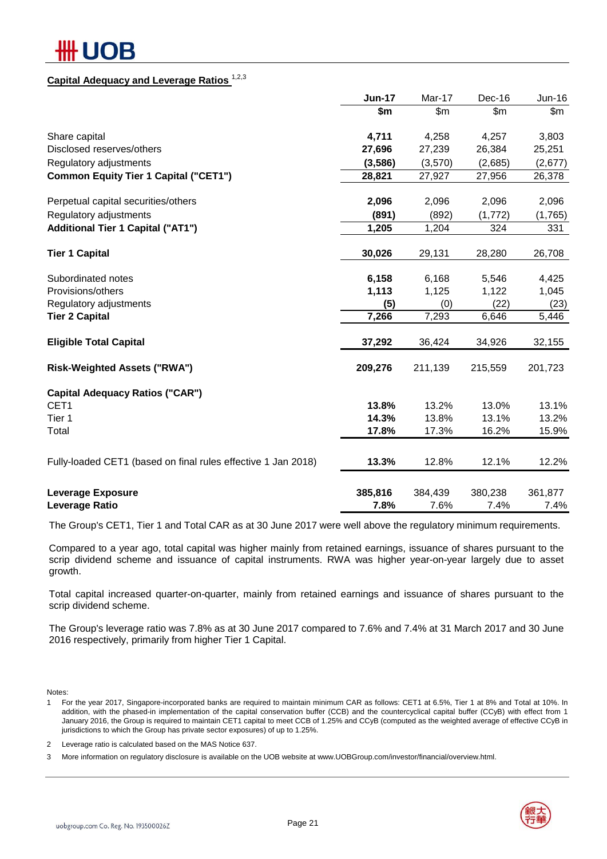# IOB

# **Capital Adequacy and Leverage Ratios** 1,2,3

|                                                               | <b>Jun-17</b> | Mar-17        | Dec-16  | Jun-16  |
|---------------------------------------------------------------|---------------|---------------|---------|---------|
|                                                               | \$m           | $\mathsf{Sm}$ | \$m\$   | \$m     |
| Share capital                                                 | 4,711         | 4,258         | 4,257   | 3,803   |
| Disclosed reserves/others                                     | 27,696        | 27,239        | 26,384  | 25,251  |
| Regulatory adjustments                                        | (3,586)       | (3,570)       | (2,685) | (2,677) |
| <b>Common Equity Tier 1 Capital ("CET1")</b>                  | 28,821        | 27,927        | 27,956  | 26,378  |
| Perpetual capital securities/others                           | 2,096         | 2,096         | 2,096   | 2,096   |
| Regulatory adjustments                                        | (891)         | (892)         | (1,772) | (1,765) |
| <b>Additional Tier 1 Capital ("AT1")</b>                      | 1,205         | 1,204         | 324     | 331     |
| <b>Tier 1 Capital</b>                                         | 30,026        | 29,131        | 28,280  | 26,708  |
| Subordinated notes                                            | 6,158         | 6,168         | 5,546   | 4,425   |
| Provisions/others                                             | 1,113         | 1,125         | 1,122   | 1,045   |
| Regulatory adjustments                                        | (5)           | (0)           | (22)    | (23)    |
| <b>Tier 2 Capital</b>                                         | 7,266         | 7,293         | 6,646   | 5,446   |
| <b>Eligible Total Capital</b>                                 | 37,292        | 36,424        | 34,926  | 32,155  |
| <b>Risk-Weighted Assets ("RWA")</b>                           | 209,276       | 211,139       | 215,559 | 201,723 |
| <b>Capital Adequacy Ratios ("CAR")</b>                        |               |               |         |         |
| CET1                                                          | 13.8%         | 13.2%         | 13.0%   | 13.1%   |
| Tier 1                                                        | 14.3%         | 13.8%         | 13.1%   | 13.2%   |
| Total                                                         | 17.8%         | 17.3%         | 16.2%   | 15.9%   |
| Fully-loaded CET1 (based on final rules effective 1 Jan 2018) | 13.3%         | 12.8%         | 12.1%   | 12.2%   |
| <b>Leverage Exposure</b>                                      | 385,816       | 384,439       | 380,238 | 361,877 |
| <b>Leverage Ratio</b>                                         | 7.8%          | 7.6%          | 7.4%    | 7.4%    |

The Group's CET1, Tier 1 and Total CAR as at 30 June 2017 were well above the regulatory minimum requirements.

Compared to a year ago, total capital was higher mainly from retained earnings, issuance of shares pursuant to the scrip dividend scheme and issuance of capital instruments. RWA was higher year-on-year largely due to asset growth.

Total capital increased quarter-on-quarter, mainly from retained earnings and issuance of shares pursuant to the scrip dividend scheme.

The Group's leverage ratio was 7.8% as at 30 June 2017 compared to 7.6% and 7.4% at 31 March 2017 and 30 June 2016 respectively, primarily from higher Tier 1 Capital.

Notes:

2 Leverage ratio is calculated based on the MAS Notice 637.

3 More information on regulatory disclosure is available on the UOB website at www.UOBGroup.com/investor/financial/overview.html.



<sup>1</sup> For the year 2017, Singapore-incorporated banks are required to maintain minimum CAR as follows: CET1 at 6.5%, Tier 1 at 8% and Total at 10%. In addition, with the phased-in implementation of the capital conservation buffer (CCB) and the countercyclical capital buffer (CCyB) with effect from 1 January 2016, the Group is required to maintain CET1 capital to meet CCB of 1.25% and CCyB (computed as the weighted average of effective CCyB in jurisdictions to which the Group has private sector exposures) of up to 1.25%.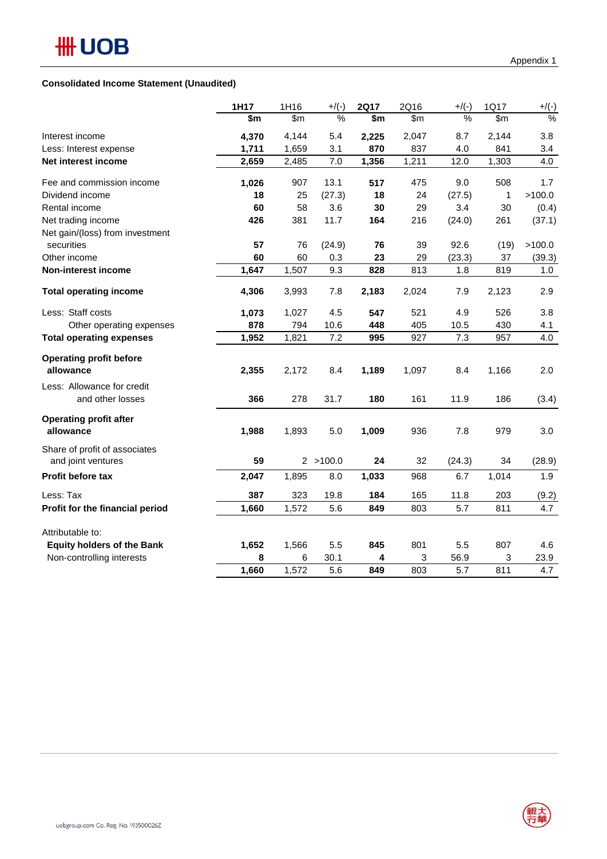#### **Consolidated Income Statement (Unaudited)**

|                                                     | 1H17  | 1H16  | $+$ /(-)  | <b>2Q17</b> | 2Q16  | $+$ /(-) | 1Q17  | $+$ /(-) |
|-----------------------------------------------------|-------|-------|-----------|-------------|-------|----------|-------|----------|
|                                                     | \$m   | \$m   | %         | \$m         | \$m\$ | %        | \$m\$ | %        |
| Interest income                                     | 4,370 | 4,144 | 5.4       | 2,225       | 2,047 | 8.7      | 2,144 | 3.8      |
| Less: Interest expense                              | 1,711 | 1,659 | 3.1       | 870         | 837   | 4.0      | 841   | 3.4      |
| Net interest income                                 | 2,659 | 2,485 | 7.0       | 1,356       | 1,211 | 12.0     | 1,303 | 4.0      |
| Fee and commission income                           | 1,026 | 907   | 13.1      | 517         | 475   | 9.0      | 508   | 1.7      |
| Dividend income                                     | 18    | 25    | (27.3)    | 18          | 24    | (27.5)   | 1     | >100.0   |
| Rental income                                       | 60    | 58    | 3.6       | 30          | 29    | 3.4      | 30    | (0.4)    |
| Net trading income                                  | 426   | 381   | 11.7      | 164         | 216   | (24.0)   | 261   | (37.1)   |
| Net gain/(loss) from investment                     |       |       |           |             |       |          |       |          |
| securities                                          | 57    | 76    | (24.9)    | 76          | 39    | 92.6     | (19)  | >100.0   |
| Other income                                        | 60    | 60    | 0.3       | 23          | 29    | (23.3)   | 37    | (39.3)   |
| <b>Non-interest income</b>                          | 1,647 | 1,507 | 9.3       | 828         | 813   | 1.8      | 819   | 1.0      |
| <b>Total operating income</b>                       | 4,306 | 3,993 | 7.8       | 2,183       | 2,024 | 7.9      | 2,123 | 2.9      |
| Less: Staff costs                                   | 1,073 | 1,027 | 4.5       | 547         | 521   | 4.9      | 526   | 3.8      |
| Other operating expenses                            | 878   | 794   | 10.6      | 448         | 405   | 10.5     | 430   | 4.1      |
| <b>Total operating expenses</b>                     | 1,952 | 1,821 | 7.2       | 995         | 927   | 7.3      | 957   | 4.0      |
| <b>Operating profit before</b><br>allowance         | 2,355 | 2,172 | 8.4       | 1,189       | 1,097 | 8.4      | 1,166 | 2.0      |
| Less: Allowance for credit                          |       |       |           |             |       |          |       |          |
| and other losses                                    | 366   | 278   | 31.7      | 180         | 161   | 11.9     | 186   | (3.4)    |
| <b>Operating profit after</b><br>allowance          | 1,988 | 1,893 | $5.0$     | 1,009       | 936   | 7.8      | 979   | 3.0      |
| Share of profit of associates<br>and joint ventures | 59    |       | 2 > 100.0 | 24          | 32    | (24.3)   | 34    | (28.9)   |
| <b>Profit before tax</b>                            | 2,047 | 1,895 | 8.0       | 1,033       | 968   | 6.7      | 1,014 | 1.9      |
| Less: Tax                                           | 387   | 323   | 19.8      | 184         | 165   | 11.8     | 203   | (9.2)    |
| Profit for the financial period                     | 1,660 | 1,572 | 5.6       | 849         | 803   | 5.7      | 811   | 4.7      |
| Attributable to:                                    |       |       |           |             |       |          |       |          |
| <b>Equity holders of the Bank</b>                   | 1,652 | 1,566 | 5.5       | 845         | 801   | 5.5      | 807   | 4.6      |
| Non-controlling interests                           | 8     | 6     | 30.1      | 4           | 3     | 56.9     | 3     | 23.9     |
|                                                     | 1,660 | 1,572 | 5.6       | 849         | 803   | 5.7      | 811   | 4.7      |

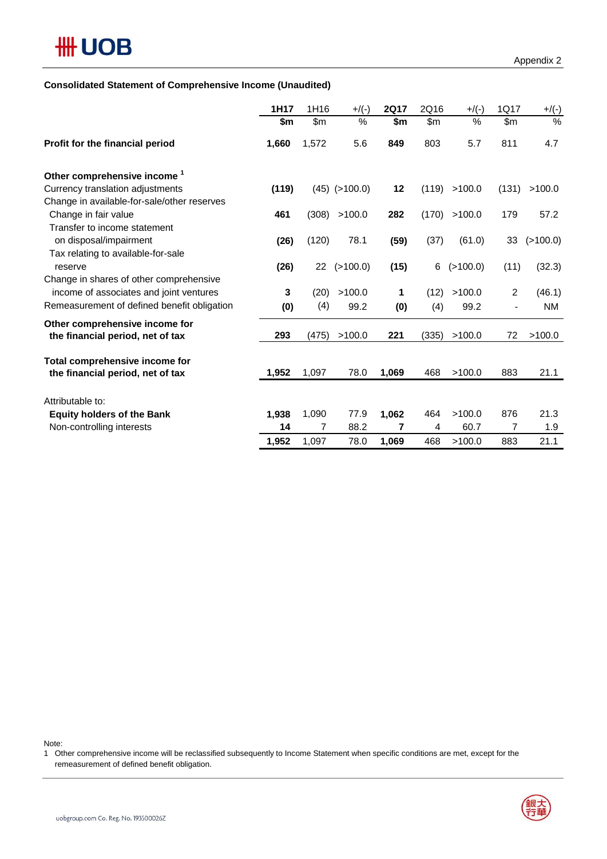### **Consolidated Statement of Comprehensive Income (Unaudited)**

|                                                                    | 1H17  | 1H16  | $+$ /(-)          | <b>2Q17</b> | 2Q16  | $+$ /(-) | 1Q17           | $+$ /(-)  |
|--------------------------------------------------------------------|-------|-------|-------------------|-------------|-------|----------|----------------|-----------|
|                                                                    | \$m   | \$m\$ | %                 | \$m         | \$m\$ | $\%$     | \$m            | %         |
| Profit for the financial period                                    | 1,660 | 1,572 | 5.6               | 849         | 803   | 5.7      | 811            | 4.7       |
| Other comprehensive income <sup>1</sup>                            |       |       |                   |             |       |          |                |           |
| Currency translation adjustments                                   | (119) |       | $(45)$ $(>100.0)$ | 12          | (119) | >100.0   | (131)          | >100.0    |
| Change in available-for-sale/other reserves                        |       |       |                   |             |       |          |                |           |
| Change in fair value                                               | 461   | (308) | >100.0            | 282         | (170) | >100.0   | 179            | 57.2      |
| Transfer to income statement                                       |       |       |                   |             |       |          |                |           |
| on disposal/impairment                                             | (26)  | (120) | 78.1              | (59)        | (37)  | (61.0)   | 33             | (>100.0)  |
| Tax relating to available-for-sale<br>reserve                      | (26)  | 22    | (>100.0)          | (15)        | 6     | (>100.0) | (11)           | (32.3)    |
| Change in shares of other comprehensive                            |       |       |                   |             |       |          |                |           |
| income of associates and joint ventures                            | 3     | (20)  | >100.0            | 1           | (12)  | >100.0   | $\overline{2}$ | (46.1)    |
| Remeasurement of defined benefit obligation                        | (0)   | (4)   | 99.2              | (0)         | (4)   | 99.2     |                | <b>NM</b> |
| Other comprehensive income for                                     |       |       |                   |             |       |          |                |           |
| the financial period, net of tax                                   | 293   | (475) | >100.0            | 221         | (335) | >100.0   | 72             | >100.0    |
|                                                                    |       |       |                   |             |       |          |                |           |
| Total comprehensive income for<br>the financial period, net of tax | 1,952 | 1,097 | 78.0              | 1,069       | 468   | >100.0   | 883            | 21.1      |
|                                                                    |       |       |                   |             |       |          |                |           |
| Attributable to:                                                   |       |       |                   |             |       |          |                |           |
| <b>Equity holders of the Bank</b>                                  | 1,938 | 1,090 | 77.9              | 1,062       | 464   | >100.0   | 876            | 21.3      |
| Non-controlling interests                                          | 14    | 7     | 88.2              | 7           | 4     | 60.7     | 7              | 1.9       |
|                                                                    | 1,952 | 1,097 | 78.0              | 1.069       | 468   | >100.0   | 883            | 21.1      |

Note:

1 Other comprehensive income will be reclassified subsequently to Income Statement when specific conditions are met, except for the remeasurement of defined benefit obligation.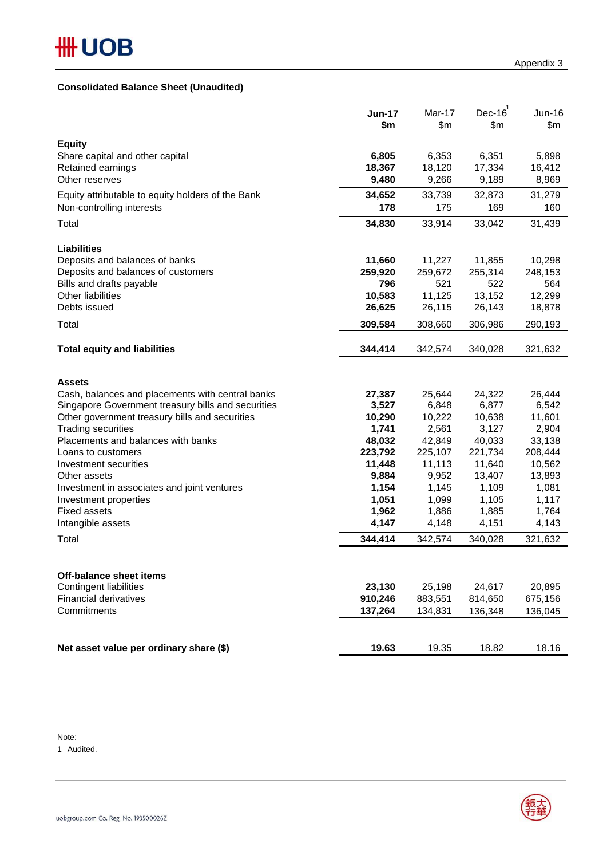### **Consolidated Balance Sheet (Unaudited)**

|                                                    | <b>Jun-17</b>  | Mar-17         | $Dec-16$       | Jun-16         |
|----------------------------------------------------|----------------|----------------|----------------|----------------|
|                                                    | \$m            | \$m\$          | \$m            | \$m            |
| <b>Equity</b>                                      |                |                |                |                |
| Share capital and other capital                    | 6,805          | 6,353          | 6,351          | 5,898          |
| Retained earnings                                  | 18,367         | 18,120         | 17,334         | 16,412         |
| Other reserves                                     | 9,480          | 9,266          | 9,189          | 8,969          |
| Equity attributable to equity holders of the Bank  | 34,652         | 33,739         | 32,873         | 31,279         |
| Non-controlling interests                          | 178            | 175            | 169            | 160            |
| Total                                              | 34,830         | 33,914         | 33,042         | 31,439         |
|                                                    |                |                |                |                |
| <b>Liabilities</b>                                 |                |                |                |                |
| Deposits and balances of banks                     | 11,660         | 11,227         | 11,855         | 10,298         |
| Deposits and balances of customers                 | 259,920<br>796 | 259,672<br>521 | 255,314<br>522 | 248,153<br>564 |
| Bills and drafts payable<br>Other liabilities      | 10,583         | 11,125         | 13,152         | 12,299         |
| Debts issued                                       | 26,625         | 26,115         | 26,143         | 18,878         |
| Total                                              | 309,584        | 308,660        | 306,986        | 290,193        |
|                                                    |                |                |                |                |
| <b>Total equity and liabilities</b>                | 344,414        | 342,574        | 340,028        | 321,632        |
|                                                    |                |                |                |                |
| <b>Assets</b>                                      |                |                |                |                |
| Cash, balances and placements with central banks   | 27,387         | 25,644         | 24,322         | 26,444         |
| Singapore Government treasury bills and securities | 3,527          | 6,848          | 6,877          | 6,542          |
| Other government treasury bills and securities     | 10,290         | 10,222         | 10,638         | 11,601         |
| <b>Trading securities</b>                          | 1,741          | 2,561          | 3,127          | 2,904          |
| Placements and balances with banks                 | 48,032         | 42,849         | 40,033         | 33,138         |
| Loans to customers                                 | 223,792        | 225,107        | 221,734        | 208,444        |
| Investment securities                              | 11,448         | 11,113         | 11,640         | 10,562         |
| Other assets                                       | 9,884          | 9,952          | 13,407         | 13,893         |
| Investment in associates and joint ventures        | 1,154          | 1,145          | 1,109          | 1,081          |
| Investment properties                              | 1,051          | 1,099          | 1,105          | 1,117          |
| <b>Fixed assets</b>                                | 1,962          | 1,886          | 1,885          | 1,764          |
| Intangible assets                                  | 4,147          | 4,148          | 4,151          | 4,143          |
| Total                                              | 344,414        | 342,574        | 340,028        | 321,632        |
|                                                    |                |                |                |                |
| Off-balance sheet items                            |                |                |                |                |
| <b>Contingent liabilities</b>                      | 23,130         | 25,198         | 24,617         | 20,895         |
| <b>Financial derivatives</b>                       | 910,246        | 883,551        | 814,650        | 675,156        |
| Commitments                                        | 137,264        | 134,831        | 136,348        | 136,045        |
|                                                    |                |                |                |                |
| Net asset value per ordinary share (\$)            | 19.63          | 19.35          | 18.82          | 18.16          |
|                                                    |                |                |                |                |

Note:

1 Audited.

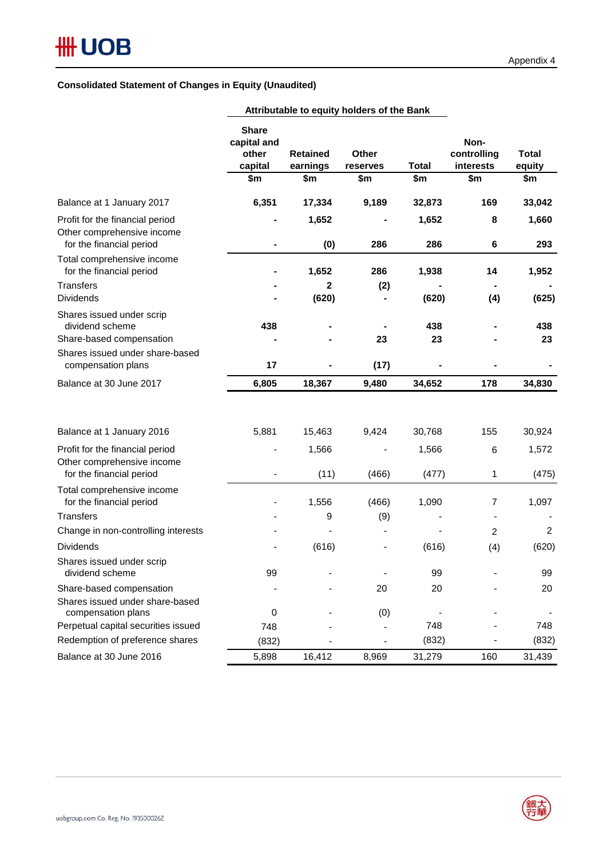## **Consolidated Statement of Changes in Equity (Unaudited)**

|                                                                                           | Attributable to equity holders of the Bank             |                                    |                          |                     |                                         |                        |
|-------------------------------------------------------------------------------------------|--------------------------------------------------------|------------------------------------|--------------------------|---------------------|-----------------------------------------|------------------------|
|                                                                                           | <b>Share</b><br>capital and<br>other<br>capital<br>\$m | <b>Retained</b><br>earnings<br>\$m | Other<br>reserves<br>\$m | <b>Total</b><br>\$m | Non-<br>controlling<br>interests<br>\$m | Total<br>equity<br>\$m |
|                                                                                           |                                                        |                                    |                          |                     |                                         |                        |
| Balance at 1 January 2017                                                                 | 6,351                                                  | 17,334                             | 9,189                    | 32,873              | 169                                     | 33,042                 |
| Profit for the financial period<br>Other comprehensive income<br>for the financial period |                                                        | 1,652<br>(0)                       | 286                      | 1,652<br>286        | 8<br>6                                  | 1,660<br>293           |
| Total comprehensive income<br>for the financial period                                    |                                                        | 1,652                              | 286                      | 1,938               | 14                                      | 1,952                  |
| <b>Transfers</b>                                                                          |                                                        | $\mathbf{2}$                       | (2)                      |                     |                                         |                        |
| <b>Dividends</b>                                                                          |                                                        | (620)                              |                          | (620)               | (4)                                     | (625)                  |
| Shares issued under scrip<br>dividend scheme<br>Share-based compensation                  | 438                                                    |                                    | 23                       | 438<br>23           |                                         | 438<br>23              |
| Shares issued under share-based<br>compensation plans                                     | 17                                                     |                                    | (17)                     |                     |                                         |                        |
| Balance at 30 June 2017                                                                   | 6,805                                                  | 18,367                             | 9,480                    | 34,652              | 178                                     | 34,830                 |
| Balance at 1 January 2016                                                                 | 5,881                                                  | 15,463                             | 9,424                    | 30,768              | 155                                     | 30,924                 |
| Profit for the financial period<br>Other comprehensive income                             |                                                        | 1,566                              | $\blacksquare$           | 1,566               | 6                                       | 1,572                  |
| for the financial period                                                                  |                                                        | (11)                               | (466)                    | (477)               | 1                                       | (475)                  |
| Total comprehensive income<br>for the financial period                                    |                                                        | 1,556                              | (466)                    | 1,090               | 7                                       | 1,097                  |
| <b>Transfers</b>                                                                          |                                                        | 9                                  | (9)                      |                     | $\blacksquare$                          |                        |
| Change in non-controlling interests                                                       |                                                        |                                    |                          |                     | $\overline{2}$                          | $\overline{2}$         |
| <b>Dividends</b>                                                                          |                                                        | (616)                              |                          | (616)               | (4)                                     | (620)                  |
| Shares issued under scrip<br>dividend scheme                                              | 99                                                     |                                    |                          | 99                  |                                         | 99                     |
| Share-based compensation<br>Shares issued under share-based<br>compensation plans         | 0                                                      |                                    | 20                       | 20                  |                                         | 20                     |
| Perpetual capital securities issued                                                       | 748                                                    |                                    | (0)                      | 748                 |                                         | 748                    |
| Redemption of preference shares                                                           | (832)                                                  |                                    |                          | (832)               |                                         | (832)                  |
| Balance at 30 June 2016                                                                   | 5,898                                                  | 16,412                             | 8,969                    | 31,279              | 160                                     | 31,439                 |

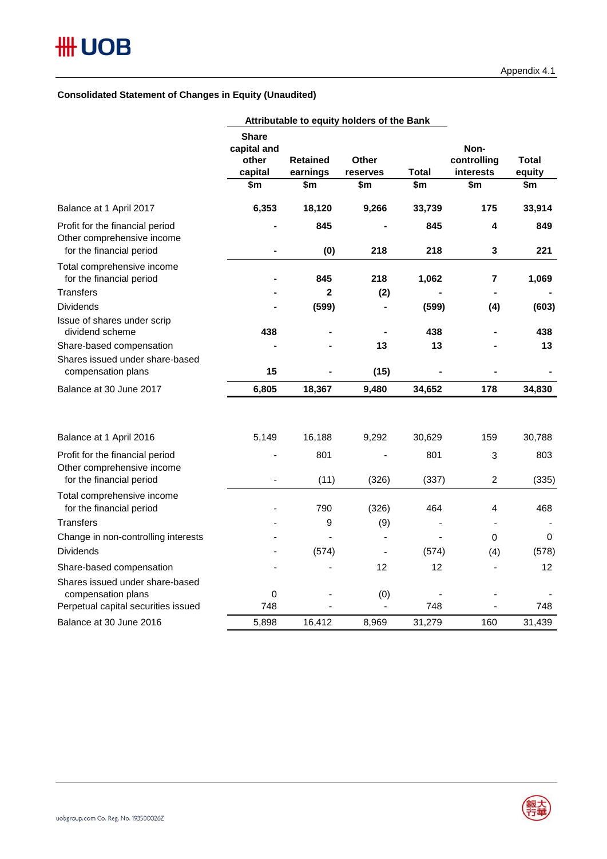### **Consolidated Statement of Changes in Equity (Unaudited)**

|                                                                                           |                                                 |                             | Attributable to equity holders of the Bank |                |                                  |                        |
|-------------------------------------------------------------------------------------------|-------------------------------------------------|-----------------------------|--------------------------------------------|----------------|----------------------------------|------------------------|
|                                                                                           | <b>Share</b><br>capital and<br>other<br>capital | <b>Retained</b><br>earnings | Other<br>reserves                          | <b>Total</b>   | Non-<br>controlling<br>interests | <b>Total</b><br>equity |
|                                                                                           | \$m                                             | \$m                         | \$m                                        | \$m            | \$m                              | \$m                    |
| Balance at 1 April 2017                                                                   | 6,353                                           | 18,120                      | 9,266                                      | 33,739         | 175                              | 33,914                 |
| Profit for the financial period<br>Other comprehensive income<br>for the financial period | $\blacksquare$                                  | 845<br>(0)                  | 218                                        | 845<br>218     | 4<br>$\mathbf 3$                 | 849<br>221             |
| Total comprehensive income<br>for the financial period                                    |                                                 | 845                         | 218                                        | 1,062          | $\overline{7}$                   | 1,069                  |
| <b>Transfers</b>                                                                          |                                                 | $\mathbf{2}$                | (2)                                        |                |                                  |                        |
| <b>Dividends</b>                                                                          |                                                 | (599)                       | $\overline{\phantom{0}}$                   | (599)          | (4)                              | (603)                  |
| Issue of shares under scrip<br>dividend scheme                                            | 438                                             |                             |                                            | 438            |                                  | 438                    |
| Share-based compensation                                                                  |                                                 |                             | 13                                         | 13             |                                  | 13                     |
| Shares issued under share-based<br>compensation plans                                     | 15                                              |                             | (15)                                       |                |                                  |                        |
| Balance at 30 June 2017                                                                   | 6,805                                           | 18,367                      | 9,480                                      | 34,652         | 178                              | 34,830                 |
|                                                                                           |                                                 |                             |                                            |                |                                  |                        |
| Balance at 1 April 2016                                                                   | 5,149                                           | 16,188                      | 9,292                                      | 30,629         | 159                              | 30,788                 |
| Profit for the financial period<br>Other comprehensive income                             |                                                 | 801                         |                                            | 801            | $\mathbf{3}$                     | 803                    |
| for the financial period                                                                  |                                                 | (11)                        | (326)                                      | (337)          | $\overline{2}$                   | (335)                  |
| Total comprehensive income<br>for the financial period                                    |                                                 | 790                         | (326)                                      | 464            | 4                                | 468                    |
| <b>Transfers</b>                                                                          |                                                 | 9                           | (9)                                        |                |                                  |                        |
| Change in non-controlling interests                                                       |                                                 |                             |                                            |                | $\Omega$                         | 0                      |
| <b>Dividends</b>                                                                          |                                                 | (574)                       | $\blacksquare$                             | (574)          | (4)                              | (578)                  |
| Share-based compensation                                                                  |                                                 |                             | 12                                         | 12             |                                  | 12                     |
| Shares issued under share-based<br>compensation plans                                     | $\mathbf 0$                                     |                             | (0)                                        | $\blacksquare$ |                                  |                        |
| Perpetual capital securities issued                                                       | 748                                             |                             |                                            | 748            |                                  | 748                    |
| Balance at 30 June 2016                                                                   | 5,898                                           | 16,412                      | 8,969                                      | 31,279         | 160                              | 31,439                 |

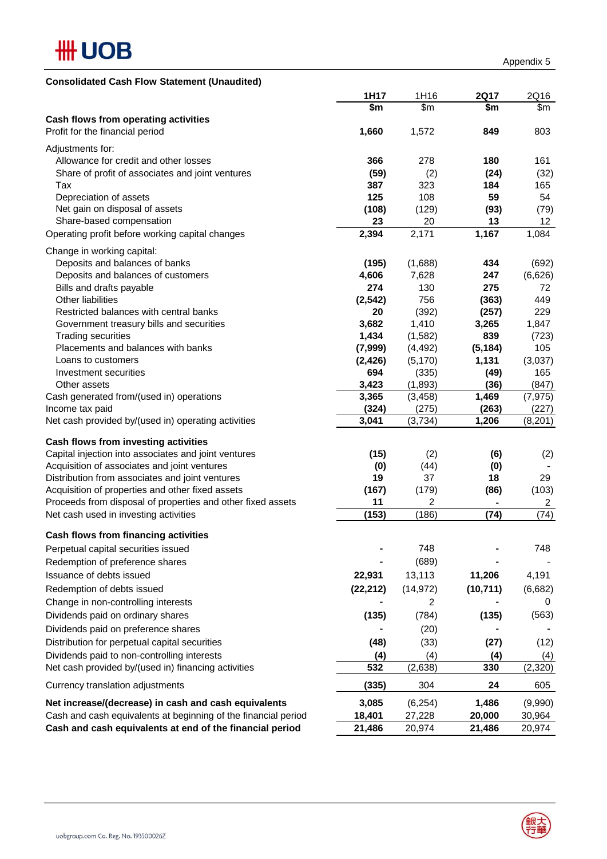

| <b>Consolidated Cash Flow Statement (Unaudited)</b>                    |                |                  |                |                  |
|------------------------------------------------------------------------|----------------|------------------|----------------|------------------|
|                                                                        | 1H17           | 1H16             | <b>2Q17</b>    | 2Q16             |
|                                                                        | \$m            | \$m\$            | \$m            | \$m              |
| Cash flows from operating activities                                   |                |                  |                |                  |
| Profit for the financial period                                        | 1,660          | 1,572            | 849            | 803              |
| Adjustments for:                                                       |                |                  |                |                  |
| Allowance for credit and other losses                                  | 366            | 278              | 180            | 161              |
| Share of profit of associates and joint ventures                       | (59)           | (2)              | (24)           | (32)             |
| Tax                                                                    | 387            | 323              | 184            | 165              |
| Depreciation of assets                                                 | 125            | 108              | 59             | 54               |
| Net gain on disposal of assets                                         | (108)          | (129)            | (93)           | (79)             |
| Share-based compensation                                               | 23             | 20               | 13             | 12               |
| Operating profit before working capital changes                        | 2,394          | 2,171            | 1,167          | 1,084            |
| Change in working capital:                                             |                |                  |                |                  |
| Deposits and balances of banks                                         | (195)          | (1,688)          | 434            | (692)            |
| Deposits and balances of customers                                     | 4,606          | 7,628            | 247            | (6,626)          |
| Bills and drafts payable                                               | 274            | 130              | 275            | 72               |
| Other liabilities                                                      | (2, 542)       | 756              | (363)          | 449              |
| Restricted balances with central banks                                 | 20             | (392)            | (257)          | 229              |
| Government treasury bills and securities                               | 3,682          | 1,410            | 3,265          | 1,847            |
| <b>Trading securities</b>                                              | 1,434          | (1,582)          | 839            | (723)            |
| Placements and balances with banks                                     | (7,999)        | (4, 492)         | (5, 184)       | 105              |
| Loans to customers                                                     | (2, 426)       | (5, 170)         | 1,131          | (3,037)          |
| Investment securities                                                  | 694            | (335)            | (49)           | 165              |
| Other assets                                                           | 3,423          | (1,893)          | (36)           | (847)            |
| Cash generated from/(used in) operations                               | 3,365          | (3, 458)         | 1,469          | (7, 975)         |
| Income tax paid<br>Net cash provided by/(used in) operating activities | (324)<br>3,041 | (275)<br>(3,734) | (263)<br>1,206 | (227)<br>(8,201) |
|                                                                        |                |                  |                |                  |
| Cash flows from investing activities                                   |                |                  |                |                  |
| Capital injection into associates and joint ventures                   | (15)           | (2)              | (6)            | (2)              |
| Acquisition of associates and joint ventures                           | (0)            | (44)             | (0)            |                  |
| Distribution from associates and joint ventures                        | 19             | 37               | 18             | 29               |
| Acquisition of properties and other fixed assets                       | (167)          | (179)            | (86)           | (103)            |
| Proceeds from disposal of properties and other fixed assets            | 11             | 2                | ۰              | 2                |
| Net cash used in investing activities                                  | (153)          | (186)            | (74)           | (74)             |
| Cash flows from financing activities                                   |                |                  |                |                  |
| Perpetual capital securities issued                                    |                | 748              |                | 748              |
| Redemption of preference shares                                        |                | (689)            |                |                  |
| Issuance of debts issued                                               | 22,931         | 13,113           | 11,206         | 4,191            |
| Redemption of debts issued                                             | (22, 212)      | (14, 972)        | (10, 711)      | (6,682)          |
| Change in non-controlling interests                                    |                | $\overline{2}$   |                | 0                |
| Dividends paid on ordinary shares                                      | (135)          | (784)            | (135)          | (563)            |
| Dividends paid on preference shares                                    |                | (20)             |                |                  |
| Distribution for perpetual capital securities                          | (48)           | (33)             | (27)           | (12)             |
| Dividends paid to non-controlling interests                            | (4)            | (4)              | (4)            | (4)              |
| Net cash provided by/(used in) financing activities                    | 532            | (2,638)          | 330            | (2, 320)         |
|                                                                        |                |                  |                |                  |
| Currency translation adjustments                                       | (335)          | 304              | 24             | 605              |
| Net increase/(decrease) in cash and cash equivalents                   | 3,085          | (6, 254)         | 1,486          | (9,990)          |
| Cash and cash equivalents at beginning of the financial period         | 18,401         | 27,228           | 20,000         | 30,964           |
| Cash and cash equivalents at end of the financial period               | 21,486         | 20,974           | 21,486         | 20,974           |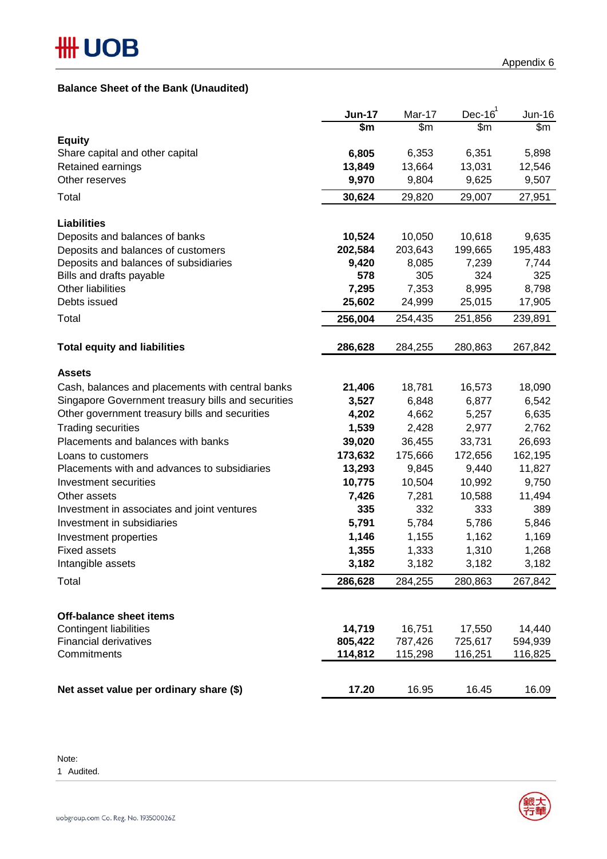# **Balance Sheet of the Bank (Unaudited)**

|                                                      | <b>Jun-17</b>   | Mar-17          | $Dec-16$        | Jun-16          |
|------------------------------------------------------|-----------------|-----------------|-----------------|-----------------|
|                                                      | \$m             | \$m\$           | \$m             | \$m             |
| <b>Equity</b>                                        |                 |                 |                 |                 |
| Share capital and other capital<br>Retained earnings | 6,805<br>13,849 | 6,353<br>13,664 | 6,351<br>13,031 | 5,898<br>12,546 |
| Other reserves                                       | 9,970           | 9,804           | 9,625           | 9,507           |
|                                                      |                 |                 |                 |                 |
| Total                                                | 30,624          | 29,820          | 29,007          | 27,951          |
| <b>Liabilities</b>                                   |                 |                 |                 |                 |
| Deposits and balances of banks                       | 10,524          | 10,050          | 10,618          | 9,635           |
| Deposits and balances of customers                   | 202,584         | 203,643         | 199,665         | 195,483         |
| Deposits and balances of subsidiaries                | 9,420           | 8,085           | 7,239           | 7,744           |
| Bills and drafts payable                             | 578             | 305             | 324             | 325             |
| Other liabilities                                    | 7,295           | 7,353           | 8,995           | 8,798           |
| Debts issued                                         | 25,602          | 24,999          | 25,015          | 17,905          |
| Total                                                | 256,004         | 254,435         | 251,856         | 239,891         |
| <b>Total equity and liabilities</b>                  | 286,628         | 284,255         | 280,863         | 267,842         |
|                                                      |                 |                 |                 |                 |
| <b>Assets</b>                                        |                 |                 |                 |                 |
| Cash, balances and placements with central banks     | 21,406          | 18,781          | 16,573          | 18,090          |
| Singapore Government treasury bills and securities   | 3,527           | 6,848           | 6,877           | 6,542           |
| Other government treasury bills and securities       | 4,202           | 4,662           | 5,257           | 6,635           |
| <b>Trading securities</b>                            | 1,539           | 2,428           | 2,977           | 2,762           |
| Placements and balances with banks                   | 39,020          | 36,455          | 33,731          | 26,693          |
| Loans to customers                                   | 173,632         | 175,666         | 172,656         | 162,195         |
| Placements with and advances to subsidiaries         | 13,293          | 9,845           | 9,440           | 11,827          |
| Investment securities                                | 10,775          | 10,504          | 10,992          | 9,750           |
| Other assets                                         | 7,426           | 7,281           | 10,588          | 11,494          |
| Investment in associates and joint ventures          | 335             | 332             | 333             | 389             |
| Investment in subsidiaries                           | 5,791           | 5,784           | 5,786           | 5,846           |
| Investment properties                                | 1,146           | 1,155           | 1,162           | 1,169           |
| <b>Fixed assets</b>                                  | 1,355           | 1,333           | 1,310           | 1,268           |
| Intangible assets                                    | 3,182           | 3,182           | 3,182           | 3,182           |
| Total                                                | 286,628         | 284,255         | 280,863         | 267,842         |
|                                                      |                 |                 |                 |                 |
| <b>Off-balance sheet items</b>                       |                 |                 |                 |                 |
| <b>Contingent liabilities</b>                        | 14,719          | 16,751          | 17,550          | 14,440          |
| <b>Financial derivatives</b>                         | 805,422         | 787,426         | 725,617         | 594,939         |
| Commitments                                          | 114,812         | 115,298         | 116,251         | 116,825         |
| Net asset value per ordinary share (\$)              | 17.20           | 16.95           | 16.45           | 16.09           |

Note:

1 Audited.

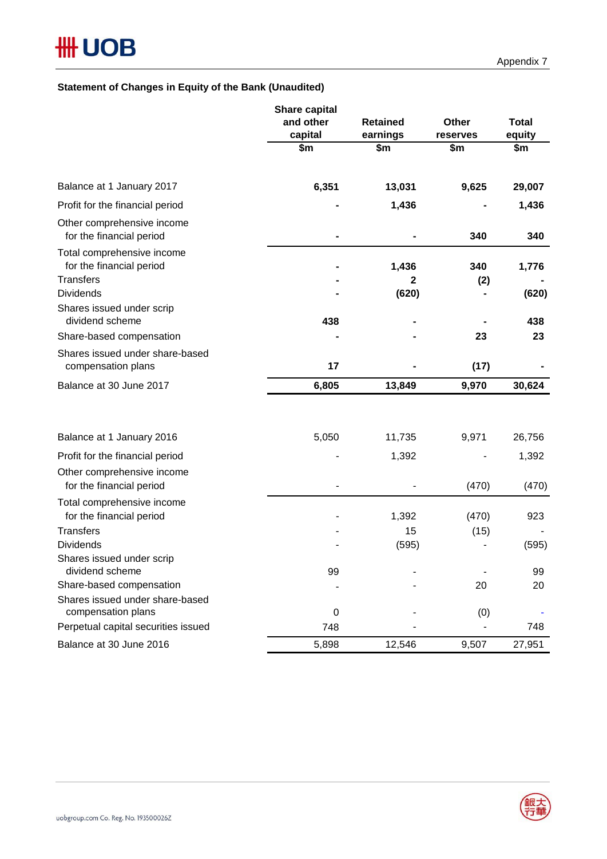# **Statement of Changes in Equity of the Bank (Unaudited)**

|                                                                            | <b>Share capital</b><br>and other | <b>Retained</b>      | Other      | <b>Total</b> |
|----------------------------------------------------------------------------|-----------------------------------|----------------------|------------|--------------|
|                                                                            | capital                           | earnings             | reserves   | equity       |
|                                                                            | \$m                               | \$m                  | \$m        | \$m          |
| Balance at 1 January 2017                                                  | 6,351                             | 13,031               | 9,625      | 29,007       |
| Profit for the financial period                                            |                                   | 1,436                |            | 1,436        |
| Other comprehensive income<br>for the financial period                     |                                   |                      | 340        | 340          |
| Total comprehensive income<br>for the financial period<br><b>Transfers</b> |                                   | 1,436<br>$\mathbf 2$ | 340<br>(2) | 1,776        |
| <b>Dividends</b>                                                           |                                   | (620)                |            | (620)        |
| Shares issued under scrip<br>dividend scheme                               | 438                               |                      |            | 438          |
| Share-based compensation                                                   |                                   |                      | 23         | 23           |
| Shares issued under share-based<br>compensation plans                      | 17                                |                      | (17)       |              |
| Balance at 30 June 2017                                                    | 6,805                             | 13,849               | 9,970      | 30,624       |
|                                                                            |                                   |                      |            |              |
| Balance at 1 January 2016                                                  | 5,050                             | 11,735               | 9,971      | 26,756       |
| Profit for the financial period                                            |                                   | 1,392                |            | 1,392        |
| Other comprehensive income<br>for the financial period                     |                                   |                      | (470)      | (470)        |
| Total comprehensive income                                                 |                                   |                      |            |              |
| for the financial period                                                   |                                   | 1,392                | (470)      | 923          |
| <b>Transfers</b>                                                           |                                   | 15                   | (15)       |              |
| <b>Dividends</b>                                                           |                                   | (595)                |            | (595)        |
| Shares issued under scrip                                                  |                                   |                      |            |              |
| dividend scheme                                                            | 99                                |                      |            | 99           |
| Share-based compensation                                                   |                                   |                      | 20         | 20           |
| Shares issued under share-based<br>compensation plans                      | 0                                 |                      | (0)        |              |
| Perpetual capital securities issued                                        | 748                               |                      |            | 748          |
| Balance at 30 June 2016                                                    | 5,898                             | 12,546               | 9,507      | 27,951       |

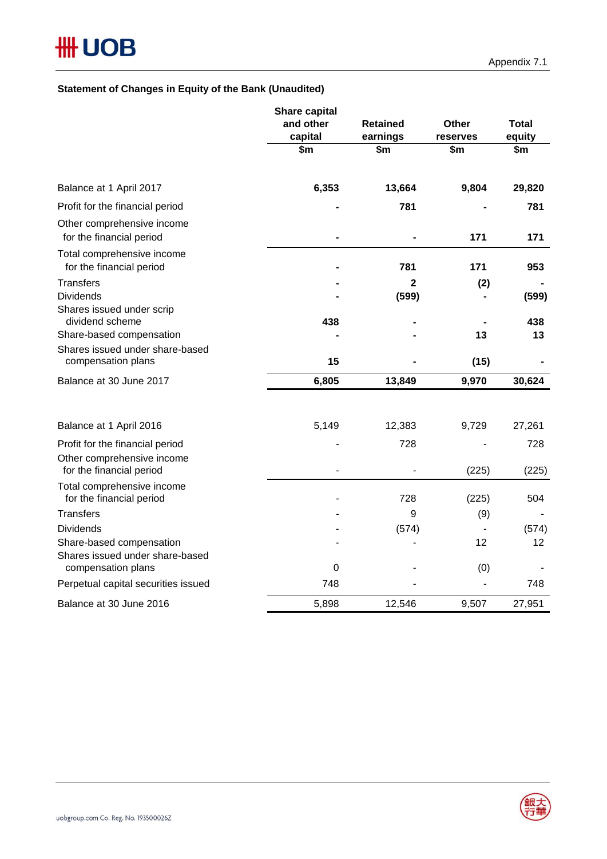# **Statement of Changes in Equity of the Bank (Unaudited)**

|                                                             | Share capital        |                             |                   |                 |
|-------------------------------------------------------------|----------------------|-----------------------------|-------------------|-----------------|
|                                                             | and other<br>capital | <b>Retained</b><br>earnings | Other<br>reserves | Total<br>equity |
|                                                             | \$m\$                | \$m                         | \$m               | \$m             |
| Balance at 1 April 2017                                     | 6,353                | 13,664                      | 9,804             | 29,820          |
| Profit for the financial period                             |                      | 781                         |                   | 781             |
| Other comprehensive income<br>for the financial period      |                      |                             | 171               | 171             |
| Total comprehensive income<br>for the financial period      |                      | 781                         | 171               | 953             |
| <b>Transfers</b>                                            |                      | 2                           | (2)               |                 |
| <b>Dividends</b>                                            |                      | (599)                       |                   | (599)           |
| Shares issued under scrip<br>dividend scheme                | 438                  |                             |                   | 438             |
| Share-based compensation                                    |                      |                             | 13                | 13              |
| Shares issued under share-based<br>compensation plans       | 15                   |                             | (15)              |                 |
| Balance at 30 June 2017                                     | 6,805                | 13,849                      | 9,970             | 30,624          |
|                                                             |                      |                             |                   |                 |
| Balance at 1 April 2016                                     | 5,149                | 12,383                      | 9,729             | 27,261          |
| Profit for the financial period                             |                      | 728                         |                   | 728             |
| Other comprehensive income<br>for the financial period      |                      |                             | (225)             | (225)           |
| Total comprehensive income<br>for the financial period      |                      | 728                         | (225)             | 504             |
| <b>Transfers</b>                                            |                      | 9                           | (9)               |                 |
| <b>Dividends</b>                                            |                      | (574)                       | $\overline{a}$    | (574)           |
| Share-based compensation<br>Shares issued under share-based |                      |                             | 12                | 12              |
| compensation plans                                          | $\pmb{0}$            |                             | (0)               |                 |
| Perpetual capital securities issued                         | 748                  |                             |                   | 748             |
| Balance at 30 June 2016                                     | 5,898                | 12,546                      | 9,507             | 27,951          |